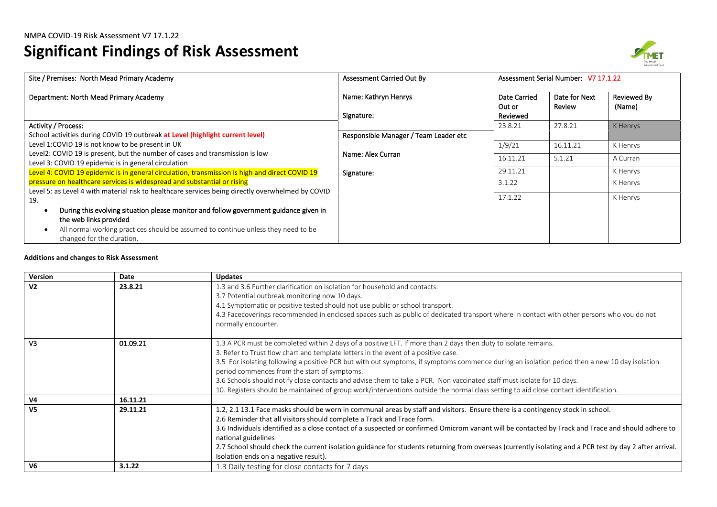# **Significant Findings of Risk Assessment**



| Site / Premises: North Mead Primary Academy                                                       | Assessment Carried Out By             |                        | Assessment Serial Number: V7 17.1.22 |                              |
|---------------------------------------------------------------------------------------------------|---------------------------------------|------------------------|--------------------------------------|------------------------------|
| Department: North Mead Primary Academy                                                            | Name: Kathryn Henrys                  | Date Carried<br>Out or | Date for Next<br>Review              | <b>Reviewed By</b><br>(Name) |
|                                                                                                   | Signature:                            | Reviewed               |                                      |                              |
| <b>Activity / Process:</b>                                                                        |                                       | 23.8.21                | 27.8.21                              | K Henrys                     |
| School activities during COVID 19 outbreak at Level (highlight current level)                     | Responsible Manager / Team Leader etc |                        |                                      |                              |
| Level 1:COVID 19 is not know to be present in UK                                                  |                                       | 1/9/21                 | 16.11.21                             | K Henrys                     |
| Level2: COVID 19 is present, but the number of cases and transmission is low                      | Name: Alex Curran                     | 16.11.21               | 5.1.21                               | A Curran                     |
| Level 3: COVID 19 epidemic is in general circulation                                              |                                       |                        |                                      |                              |
| Level 4: COVID 19 epidemic is in general circulation, transmission is high and direct COVID 19    | Signature:                            | 29.11.21               |                                      | K Henrys                     |
| pressure on healthcare services is widespread and substantial or rising                           |                                       | 3.1.22                 |                                      | K Henrys                     |
| Level 5: as Level 4 with material risk to healthcare services being directly overwhelmed by COVID |                                       |                        |                                      |                              |
| 19.                                                                                               |                                       | 17.1.22                |                                      | K Henrys                     |
| During this evolving situation please monitor and follow government guidance given in             |                                       |                        |                                      |                              |
| the web links provided                                                                            |                                       |                        |                                      |                              |
| All normal working practices should be assumed to continue unless they need to be<br>$\bullet$    |                                       |                        |                                      |                              |
| changed for the duration.                                                                         |                                       |                        |                                      |                              |

#### **Additions and changes to Risk Assessment**

| Version        | Date     | <b>Updates</b>                                                                                                                                          |
|----------------|----------|---------------------------------------------------------------------------------------------------------------------------------------------------------|
| V <sub>2</sub> | 23.8.21  | 1.3 and 3.6 Further clarification on isolation for household and contacts.                                                                              |
|                |          | 3.7 Potential outbreak monitoring now 10 days.                                                                                                          |
|                |          | 4.1 Symptomatic or positive tested should not use public or school transport.                                                                           |
|                |          | 4.3 Facecoverings recommended in enclosed spaces such as public of dedicated transport where in contact with other persons who you do not               |
|                |          | normally encounter.                                                                                                                                     |
| V <sub>3</sub> | 01.09.21 | 1.3 A PCR must be completed within 2 days of a positive LFT. If more than 2 days then duty to isolate remains.                                          |
|                |          | 3. Refer to Trust flow chart and template letters in the event of a positive case.                                                                      |
|                |          | 3.5 For isolating following a positive PCR but with out symptoms, if symptoms commence during an isolation period then a new 10 day isolation           |
|                |          | period commences from the start of symptoms.                                                                                                            |
|                |          | 3.6 Schools should notify close contacts and advise them to take a PCR. Non vaccinated staff must isolate for 10 days.                                  |
|                |          | 10. Registers should be maintained of group work/interventions outside the normal class setting to aid close contact identification.                    |
| V <sub>4</sub> | 16.11.21 |                                                                                                                                                         |
| V <sub>5</sub> | 29.11.21 | 1.2, 2.1 13.1 Face masks should be worn in communal areas by staff and visitors. Ensure there is a contingency stock in school.                         |
|                |          | 2.6 Reminder that all visitors should complete a Track and Trace form.                                                                                  |
|                |          | 3.6 Individuals identified as a close contact of a suspected or confirmed Omicrom variant will be contacted by Track and Trace and should adhere to     |
|                |          | national guidelines                                                                                                                                     |
|                |          | 2.7 School should check the current isolation guidance for students returning from overseas (currently isolating and a PCR test by day 2 after arrival. |
|                |          | Isolation ends on a negative result).                                                                                                                   |
| V <sub>6</sub> | 3.1.22   | 1.3 Daily testing for close contacts for 7 days                                                                                                         |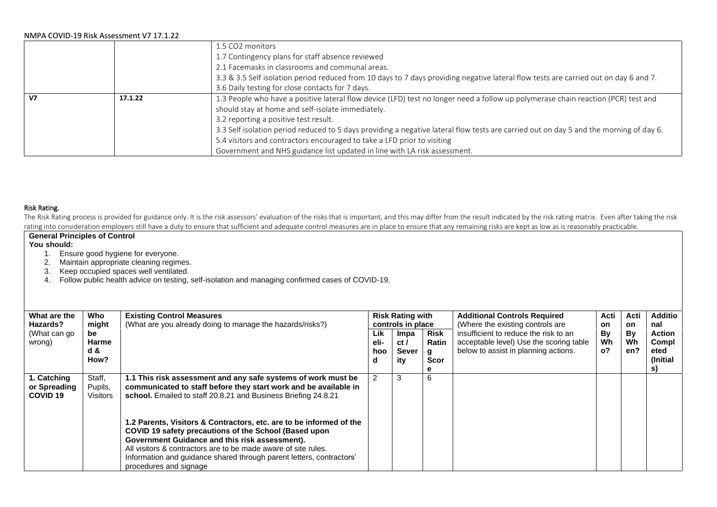|                |         | 1.5 CO2 monitors                                                                                                                       |
|----------------|---------|----------------------------------------------------------------------------------------------------------------------------------------|
|                |         | 1.7 Contingency plans for staff absence reviewed                                                                                       |
|                |         | 2.1 Facemasks in classrooms and communal areas.                                                                                        |
|                |         | 3.3 & 3.5 Self isolation period reduced from 10 days to 7 days providing negative lateral flow tests are carried out on day 6 and 7.   |
|                |         | 3.6 Daily testing for close contacts for 7 days.                                                                                       |
| V <sub>7</sub> | 17.1.22 | 1.3 People who have a positive lateral flow device (LFD) test no longer need a follow up polymerase chain reaction (PCR) test and      |
|                |         | should stay at home and self-isolate immediately.                                                                                      |
|                |         | 3.2 reporting a positive test result.                                                                                                  |
|                |         | 3.3 Self isolation period reduced to 5 days providing a negative lateral flow tests are carried out on day 5 and the morning of day 6. |
|                |         | 5.4 visitors and contractors encouraged to take a LFD prior to visiting                                                                |
|                |         | Government and NHS guidance list updated in line with LA risk assessment.                                                              |

#### Risk Rating.

The Risk Rating process is provided for guidance only. It is the risk assessors' evaluation of the risks that is important, and this may differ from the result indicated by the risk rating matrix. Even after taking the ris rating into consideration employers still have a duty to ensure that sufficient and adequate control measures are in place to ensure that any remaining risks are kept as low as is reasonably practicable.

# **General Principles of Control**

#### **You should:**

- 1. Ensure good hygiene for everyone.
- 2. Maintain appropriate cleaning regimes.
- 3. Keep occupied spaces well ventilated.
- 4. Follow public health advice on testing, self-isolation and managing confirmed cases of COVID-19.

| What are the<br>Hazards?                           | Who<br>might                         | <b>Existing Control Measures</b><br>(What are you already doing to manage the hazards/risks?)                                                                                                                                                                                                                                                      |                         | <b>Risk Rating with</b><br>controls in place |                                                 | <b>Additional Controls Required</b><br>(Where the existing controls are                                                  | Acti<br><b>on</b>      | Acti<br><b>on</b> | <b>Additio</b><br>nal                      |
|----------------------------------------------------|--------------------------------------|----------------------------------------------------------------------------------------------------------------------------------------------------------------------------------------------------------------------------------------------------------------------------------------------------------------------------------------------------|-------------------------|----------------------------------------------|-------------------------------------------------|--------------------------------------------------------------------------------------------------------------------------|------------------------|-------------------|--------------------------------------------|
| (What can go<br>wrong)                             | be<br>Harme<br>d &<br>How?           |                                                                                                                                                                                                                                                                                                                                                    | Lik<br>eli-<br>hoo<br>d | Impa<br>ct/<br>Sever<br>ity                  | <b>Risk</b><br><b>Ratin</b><br>g<br><b>Scor</b> | insufficient to reduce the risk to an<br>acceptable level) Use the scoring table<br>below to assist in planning actions. | By<br>Wh<br>$^{\circ}$ | By<br>Wh<br>en?   | <b>Action</b><br>Compl<br>eted<br>(Initial |
|                                                    |                                      |                                                                                                                                                                                                                                                                                                                                                    |                         |                                              | е                                               |                                                                                                                          |                        |                   | S)                                         |
| 1. Catching<br>or Spreading<br>COVID <sub>19</sub> | Staff,<br>Pupils,<br><b>Visitors</b> | 1.1 This risk assessment and any safe systems of work must be<br>communicated to staff before they start work and be available in<br>school. Emailed to staff 20.8.21 and Business Briefing 24.8.21                                                                                                                                                | 2                       | 3                                            | 6                                               |                                                                                                                          |                        |                   |                                            |
|                                                    |                                      | 1.2 Parents, Visitors & Contractors, etc. are to be informed of the<br>COVID 19 safety precautions of the School (Based upon<br>Government Guidance and this risk assessment).<br>All visitors & contractors are to be made aware of site rules.<br>Information and guidance shared through parent letters, contractors'<br>procedures and signage |                         |                                              |                                                 |                                                                                                                          |                        |                   |                                            |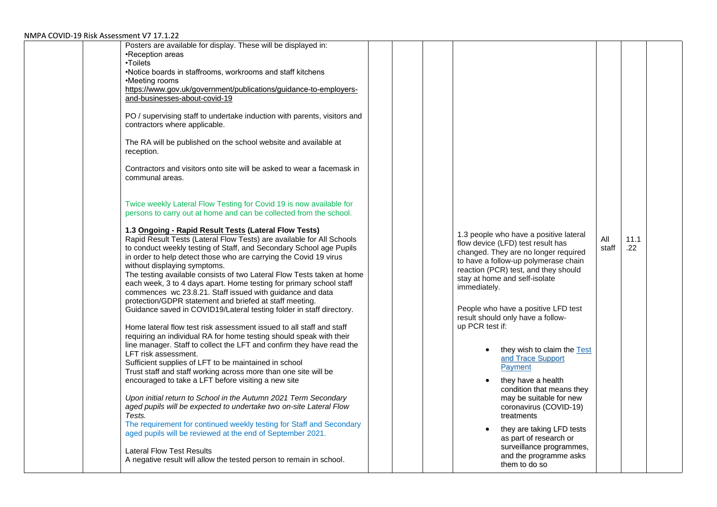| Posters are available for display. These will be displayed in:<br>•Reception areas<br>•Toilets<br>•Notice boards in staffrooms, workrooms and staff kitchens<br>•Meeting rooms<br>https://www.gov.uk/government/publications/guidance-to-employers-<br>and-businesses-about-covid-19<br>PO / supervising staff to undertake induction with parents, visitors and<br>contractors where applicable.<br>The RA will be published on the school website and available at<br>reception.<br>Contractors and visitors onto site will be asked to wear a facemask in<br>communal areas.<br>Twice weekly Lateral Flow Testing for Covid 19 is now available for<br>persons to carry out at home and can be collected from the school.<br>1.3 Ongoing - Rapid Result Tests (Lateral Flow Tests)<br>Rapid Result Tests (Lateral Flow Tests) are available for All Schools<br>to conduct weekly testing of Staff, and Secondary School age Pupils<br>in order to help detect those who are carrying the Covid 19 virus<br>without displaying symptoms.<br>The testing available consists of two Lateral Flow Tests taken at home<br>each week, 3 to 4 days apart. Home testing for primary school staff<br>commences wc 23.8.21. Staff issued with guidance and data<br>protection/GDPR statement and briefed at staff meeting.<br>Guidance saved in COVID19/Lateral testing folder in staff directory. |  | 1.3 people who have a positive lateral<br>flow device (LFD) test result has<br>changed. They are no longer required<br>to have a follow-up polymerase chain<br>reaction (PCR) test, and they should<br>stay at home and self-isolate<br>immediately.<br>People who have a positive LFD test                                                                             | All<br>staff | 11.1<br>.22 |  |
|---------------------------------------------------------------------------------------------------------------------------------------------------------------------------------------------------------------------------------------------------------------------------------------------------------------------------------------------------------------------------------------------------------------------------------------------------------------------------------------------------------------------------------------------------------------------------------------------------------------------------------------------------------------------------------------------------------------------------------------------------------------------------------------------------------------------------------------------------------------------------------------------------------------------------------------------------------------------------------------------------------------------------------------------------------------------------------------------------------------------------------------------------------------------------------------------------------------------------------------------------------------------------------------------------------------------------------------------------------------------------------------------|--|-------------------------------------------------------------------------------------------------------------------------------------------------------------------------------------------------------------------------------------------------------------------------------------------------------------------------------------------------------------------------|--------------|-------------|--|
| Home lateral flow test risk assessment issued to all staff and staff<br>requiring an individual RA for home testing should speak with their<br>line manager. Staff to collect the LFT and confirm they have read the<br>LFT risk assessment.<br>Sufficient supplies of LFT to be maintained in school<br>Trust staff and staff working across more than one site will be<br>encouraged to take a LFT before visiting a new site<br>Upon initial return to School in the Autumn 2021 Term Secondary<br>aged pupils will be expected to undertake two on-site Lateral Flow<br>Tests.<br>The requirement for continued weekly testing for Staff and Secondary<br>aged pupils will be reviewed at the end of September 2021.<br><b>Lateral Flow Test Results</b><br>A negative result will allow the tested person to remain in school.                                                                                                                                                                                                                                                                                                                                                                                                                                                                                                                                                         |  | result should only have a follow-<br>up PCR test if:<br>they wish to claim the Test<br>and Trace Support<br>Payment<br>they have a health<br>condition that means they<br>may be suitable for new<br>coronavirus (COVID-19)<br>treatments<br>they are taking LFD tests<br>as part of research or<br>surveillance programmes,<br>and the programme asks<br>them to do so |              |             |  |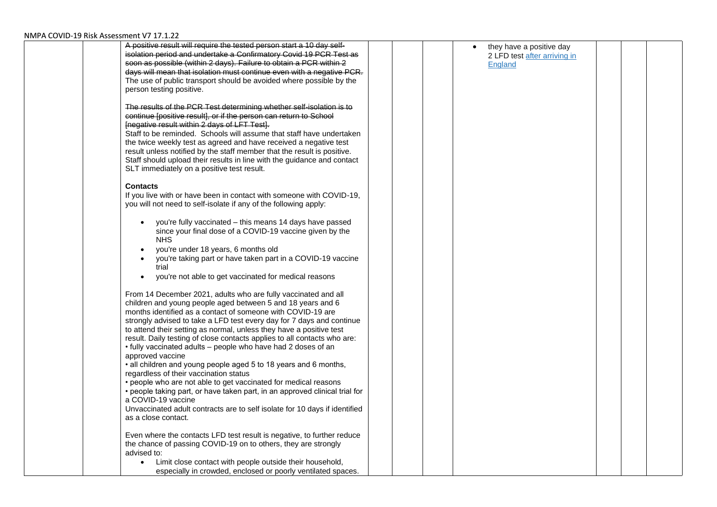| A positive result will require the tested person start a 10 day self-       |  | they have a positive day     |  |  |
|-----------------------------------------------------------------------------|--|------------------------------|--|--|
| isolation period and undertake a Confirmatory Covid 19 PCR Test as          |  | 2 LFD test after arriving in |  |  |
| soon as possible (within 2 days). Failure to obtain a PCR within 2          |  | <b>England</b>               |  |  |
| days will mean that isolation must continue even with a negative PCR.       |  |                              |  |  |
| The use of public transport should be avoided where possible by the         |  |                              |  |  |
| person testing positive.                                                    |  |                              |  |  |
|                                                                             |  |                              |  |  |
| The results of the PCR Test determining whether self-isolation is to        |  |                              |  |  |
| continue [positive result], or if the person can return to School           |  |                              |  |  |
| Inegative result within 2 days of LFT Test).                                |  |                              |  |  |
| Staff to be reminded. Schools will assume that staff have undertaken        |  |                              |  |  |
| the twice weekly test as agreed and have received a negative test           |  |                              |  |  |
| result unless notified by the staff member that the result is positive.     |  |                              |  |  |
| Staff should upload their results in line with the guidance and contact     |  |                              |  |  |
| SLT immediately on a positive test result.                                  |  |                              |  |  |
|                                                                             |  |                              |  |  |
| <b>Contacts</b>                                                             |  |                              |  |  |
| If you live with or have been in contact with someone with COVID-19,        |  |                              |  |  |
| you will not need to self-isolate if any of the following apply:            |  |                              |  |  |
|                                                                             |  |                              |  |  |
| you're fully vaccinated - this means 14 days have passed<br>$\bullet$       |  |                              |  |  |
| since your final dose of a COVID-19 vaccine given by the                    |  |                              |  |  |
| <b>NHS</b>                                                                  |  |                              |  |  |
| you're under 18 years, 6 months old<br>$\bullet$                            |  |                              |  |  |
| you're taking part or have taken part in a COVID-19 vaccine<br>$\bullet$    |  |                              |  |  |
| trial                                                                       |  |                              |  |  |
| you're not able to get vaccinated for medical reasons<br>$\bullet$          |  |                              |  |  |
|                                                                             |  |                              |  |  |
| From 14 December 2021, adults who are fully vaccinated and all              |  |                              |  |  |
| children and young people aged between 5 and 18 years and 6                 |  |                              |  |  |
| months identified as a contact of someone with COVID-19 are                 |  |                              |  |  |
| strongly advised to take a LFD test every day for 7 days and continue       |  |                              |  |  |
| to attend their setting as normal, unless they have a positive test         |  |                              |  |  |
| result. Daily testing of close contacts applies to all contacts who are:    |  |                              |  |  |
| • fully vaccinated adults – people who have had 2 doses of an               |  |                              |  |  |
| approved vaccine                                                            |  |                              |  |  |
| • all children and young people aged 5 to 18 years and 6 months,            |  |                              |  |  |
| regardless of their vaccination status                                      |  |                              |  |  |
| • people who are not able to get vaccinated for medical reasons             |  |                              |  |  |
| • people taking part, or have taken part, in an approved clinical trial for |  |                              |  |  |
| a COVID-19 vaccine                                                          |  |                              |  |  |
| Unvaccinated adult contracts are to self isolate for 10 days if identified  |  |                              |  |  |
| as a close contact.                                                         |  |                              |  |  |
|                                                                             |  |                              |  |  |
| Even where the contacts LFD test result is negative, to further reduce      |  |                              |  |  |
| the chance of passing COVID-19 on to others, they are strongly              |  |                              |  |  |
| advised to:                                                                 |  |                              |  |  |
| Limit close contact with people outside their household,<br>$\bullet$       |  |                              |  |  |
| especially in crowded, enclosed or poorly ventilated spaces.                |  |                              |  |  |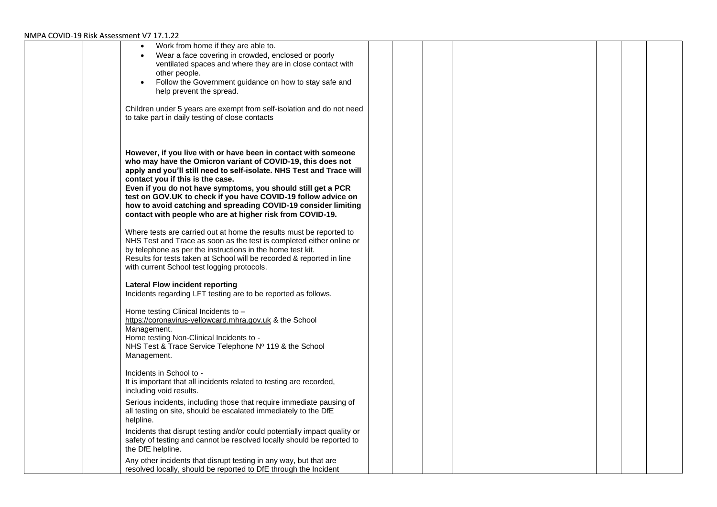| Work from home if they are able to.<br>$\bullet$<br>Wear a face covering in crowded, enclosed or poorly<br>ventilated spaces and where they are in close contact with<br>other people.<br>Follow the Government guidance on how to stay safe and<br>$\bullet$<br>help prevent the spread.<br>Children under 5 years are exempt from self-isolation and do not need<br>to take part in daily testing of close contacts                                                                                                                                                            |  |  |  |  |
|----------------------------------------------------------------------------------------------------------------------------------------------------------------------------------------------------------------------------------------------------------------------------------------------------------------------------------------------------------------------------------------------------------------------------------------------------------------------------------------------------------------------------------------------------------------------------------|--|--|--|--|
| However, if you live with or have been in contact with someone<br>who may have the Omicron variant of COVID-19, this does not<br>apply and you'll still need to self-isolate. NHS Test and Trace will<br>contact you if this is the case.<br>Even if you do not have symptoms, you should still get a PCR<br>test on GOV.UK to check if you have COVID-19 follow advice on<br>how to avoid catching and spreading COVID-19 consider limiting<br>contact with people who are at higher risk from COVID-19.<br>Where tests are carried out at home the results must be reported to |  |  |  |  |
| NHS Test and Trace as soon as the test is completed either online or<br>by telephone as per the instructions in the home test kit.<br>Results for tests taken at School will be recorded & reported in line<br>with current School test logging protocols.                                                                                                                                                                                                                                                                                                                       |  |  |  |  |
| <b>Lateral Flow incident reporting</b><br>Incidents regarding LFT testing are to be reported as follows.                                                                                                                                                                                                                                                                                                                                                                                                                                                                         |  |  |  |  |
| Home testing Clinical Incidents to -<br>https://coronavirus-yellowcard.mhra.gov.uk & the School<br>Management.<br>Home testing Non-Clinical Incidents to -<br>NHS Test & Trace Service Telephone Nº 119 & the School<br>Management.                                                                                                                                                                                                                                                                                                                                              |  |  |  |  |
| Incidents in School to -<br>It is important that all incidents related to testing are recorded,<br>including void results.                                                                                                                                                                                                                                                                                                                                                                                                                                                       |  |  |  |  |
| Serious incidents, including those that require immediate pausing of<br>all testing on site, should be escalated immediately to the DfE<br>helpline.                                                                                                                                                                                                                                                                                                                                                                                                                             |  |  |  |  |
| Incidents that disrupt testing and/or could potentially impact quality or<br>safety of testing and cannot be resolved locally should be reported to<br>the DfE helpline.                                                                                                                                                                                                                                                                                                                                                                                                         |  |  |  |  |
| Any other incidents that disrupt testing in any way, but that are<br>resolved locally, should be reported to DfE through the Incident                                                                                                                                                                                                                                                                                                                                                                                                                                            |  |  |  |  |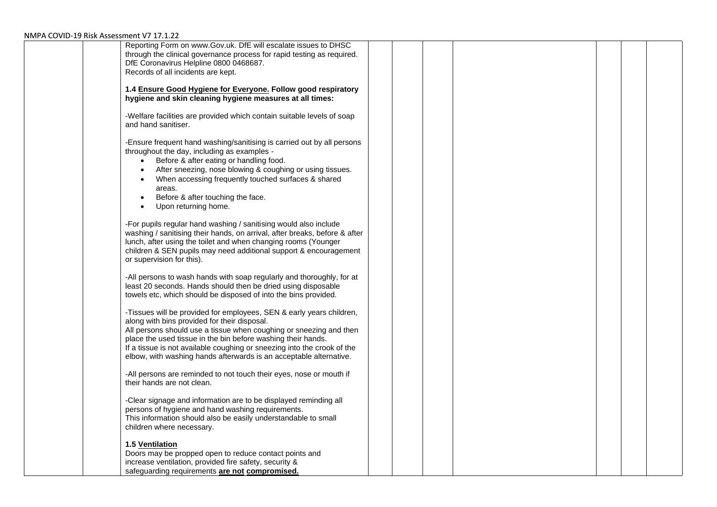| Reporting Form on www.Gov.uk. DfE will escalate issues to DHSC             |  |  |  |  |  |
|----------------------------------------------------------------------------|--|--|--|--|--|
| through the clinical governance process for rapid testing as required.     |  |  |  |  |  |
| DfE Coronavirus Helpline 0800 0468687.                                     |  |  |  |  |  |
| Records of all incidents are kept.                                         |  |  |  |  |  |
|                                                                            |  |  |  |  |  |
| 1.4 Ensure Good Hygiene for Everyone. Follow good respiratory              |  |  |  |  |  |
| hygiene and skin cleaning hygiene measures at all times:                   |  |  |  |  |  |
|                                                                            |  |  |  |  |  |
| -Welfare facilities are provided which contain suitable levels of soap     |  |  |  |  |  |
| and hand sanitiser.                                                        |  |  |  |  |  |
|                                                                            |  |  |  |  |  |
| -Ensure frequent hand washing/sanitising is carried out by all persons     |  |  |  |  |  |
| throughout the day, including as examples -                                |  |  |  |  |  |
| Before & after eating or handling food.<br>$\bullet$                       |  |  |  |  |  |
| After sneezing, nose blowing & coughing or using tissues.<br>$\bullet$     |  |  |  |  |  |
| When accessing frequently touched surfaces & shared                        |  |  |  |  |  |
| areas.                                                                     |  |  |  |  |  |
| Before & after touching the face.                                          |  |  |  |  |  |
|                                                                            |  |  |  |  |  |
| Upon returning home.                                                       |  |  |  |  |  |
|                                                                            |  |  |  |  |  |
| -For pupils regular hand washing / sanitising would also include           |  |  |  |  |  |
| washing / sanitising their hands, on arrival, after breaks, before & after |  |  |  |  |  |
| lunch, after using the toilet and when changing rooms (Younger             |  |  |  |  |  |
| children & SEN pupils may need additional support & encouragement          |  |  |  |  |  |
| or supervision for this).                                                  |  |  |  |  |  |
|                                                                            |  |  |  |  |  |
| -All persons to wash hands with soap regularly and thoroughly, for at      |  |  |  |  |  |
| least 20 seconds. Hands should then be dried using disposable              |  |  |  |  |  |
| towels etc, which should be disposed of into the bins provided.            |  |  |  |  |  |
|                                                                            |  |  |  |  |  |
| -Tissues will be provided for employees, SEN & early years children,       |  |  |  |  |  |
| along with bins provided for their disposal.                               |  |  |  |  |  |
| All persons should use a tissue when coughing or sneezing and then         |  |  |  |  |  |
| place the used tissue in the bin before washing their hands.               |  |  |  |  |  |
| If a tissue is not available coughing or sneezing into the crook of the    |  |  |  |  |  |
| elbow, with washing hands afterwards is an acceptable alternative.         |  |  |  |  |  |
|                                                                            |  |  |  |  |  |
| -All persons are reminded to not touch their eyes, nose or mouth if        |  |  |  |  |  |
| their hands are not clean.                                                 |  |  |  |  |  |
|                                                                            |  |  |  |  |  |
| -Clear signage and information are to be displayed reminding all           |  |  |  |  |  |
| persons of hygiene and hand washing requirements.                          |  |  |  |  |  |
| This information should also be easily understandable to small             |  |  |  |  |  |
| children where necessary.                                                  |  |  |  |  |  |
|                                                                            |  |  |  |  |  |
| <b>1.5 Ventilation</b>                                                     |  |  |  |  |  |
| Doors may be propped open to reduce contact points and                     |  |  |  |  |  |
| increase ventilation, provided fire safety, security &                     |  |  |  |  |  |
| safeguarding requirements are not compromised.                             |  |  |  |  |  |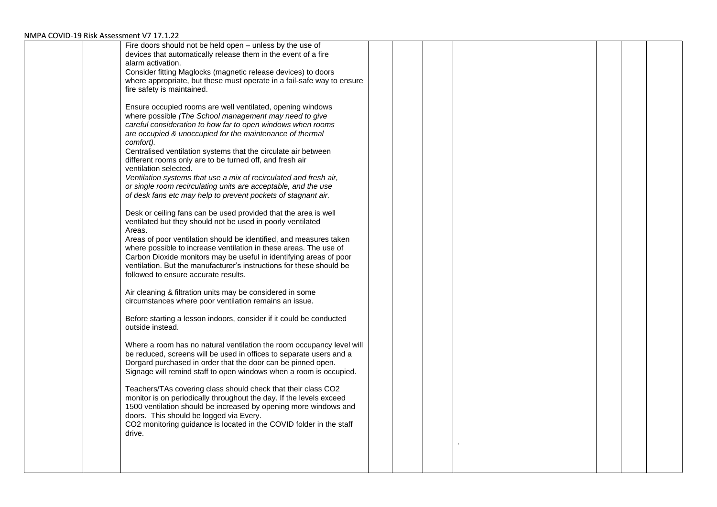| Fire doors should not be held open - unless by the use of              |  |  |  |  |
|------------------------------------------------------------------------|--|--|--|--|
|                                                                        |  |  |  |  |
| devices that automatically release them in the event of a fire         |  |  |  |  |
| alarm activation.                                                      |  |  |  |  |
| Consider fitting Maglocks (magnetic release devices) to doors          |  |  |  |  |
| where appropriate, but these must operate in a fail-safe way to ensure |  |  |  |  |
| fire safety is maintained.                                             |  |  |  |  |
|                                                                        |  |  |  |  |
| Ensure occupied rooms are well ventilated, opening windows             |  |  |  |  |
| where possible (The School management may need to give                 |  |  |  |  |
|                                                                        |  |  |  |  |
| careful consideration to how far to open windows when rooms            |  |  |  |  |
| are occupied & unoccupied for the maintenance of thermal               |  |  |  |  |
| comfort).                                                              |  |  |  |  |
| Centralised ventilation systems that the circulate air between         |  |  |  |  |
| different rooms only are to be turned off, and fresh air               |  |  |  |  |
| ventilation selected.                                                  |  |  |  |  |
| Ventilation systems that use a mix of recirculated and fresh air,      |  |  |  |  |
| or single room recirculating units are acceptable, and the use         |  |  |  |  |
| of desk fans etc may help to prevent pockets of stagnant air.          |  |  |  |  |
|                                                                        |  |  |  |  |
|                                                                        |  |  |  |  |
| Desk or ceiling fans can be used provided that the area is well        |  |  |  |  |
| ventilated but they should not be used in poorly ventilated            |  |  |  |  |
| Areas.                                                                 |  |  |  |  |
| Areas of poor ventilation should be identified, and measures taken     |  |  |  |  |
| where possible to increase ventilation in these areas. The use of      |  |  |  |  |
| Carbon Dioxide monitors may be useful in identifying areas of poor     |  |  |  |  |
| ventilation. But the manufacturer's instructions for these should be   |  |  |  |  |
| followed to ensure accurate results.                                   |  |  |  |  |
|                                                                        |  |  |  |  |
| Air cleaning & filtration units may be considered in some              |  |  |  |  |
| circumstances where poor ventilation remains an issue.                 |  |  |  |  |
|                                                                        |  |  |  |  |
|                                                                        |  |  |  |  |
| Before starting a lesson indoors, consider if it could be conducted    |  |  |  |  |
| outside instead.                                                       |  |  |  |  |
|                                                                        |  |  |  |  |
| Where a room has no natural ventilation the room occupancy level will  |  |  |  |  |
| be reduced, screens will be used in offices to separate users and a    |  |  |  |  |
| Dorgard purchased in order that the door can be pinned open.           |  |  |  |  |
| Signage will remind staff to open windows when a room is occupied.     |  |  |  |  |
|                                                                        |  |  |  |  |
| Teachers/TAs covering class should check that their class CO2          |  |  |  |  |
| monitor is on periodically throughout the day. If the levels exceed    |  |  |  |  |
| 1500 ventilation should be increased by opening more windows and       |  |  |  |  |
|                                                                        |  |  |  |  |
| doors. This should be logged via Every.                                |  |  |  |  |
| CO2 monitoring guidance is located in the COVID folder in the staff    |  |  |  |  |
| drive.                                                                 |  |  |  |  |
|                                                                        |  |  |  |  |
|                                                                        |  |  |  |  |
|                                                                        |  |  |  |  |
|                                                                        |  |  |  |  |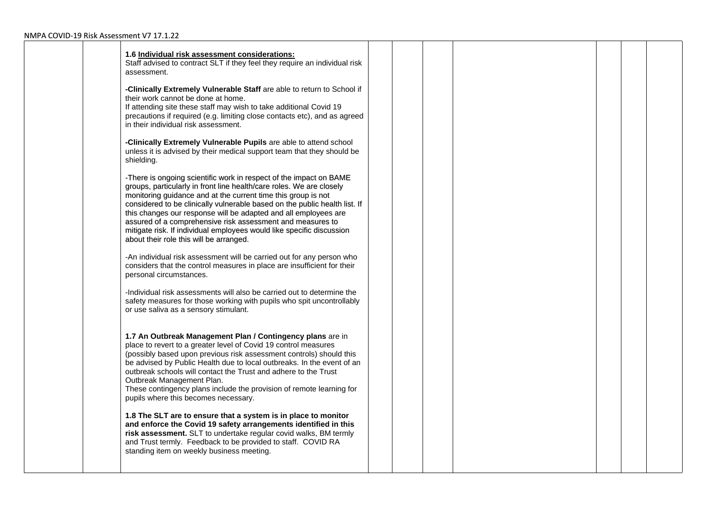| 1.6 Individual risk assessment considerations:<br>Staff advised to contract SLT if they feel they require an individual risk<br>assessment.                                                                                                                                                                                                                                                                                                                                                                                                    |  |  |  |  |
|------------------------------------------------------------------------------------------------------------------------------------------------------------------------------------------------------------------------------------------------------------------------------------------------------------------------------------------------------------------------------------------------------------------------------------------------------------------------------------------------------------------------------------------------|--|--|--|--|
| -Clinically Extremely Vulnerable Staff are able to return to School if<br>their work cannot be done at home.<br>If attending site these staff may wish to take additional Covid 19<br>precautions if required (e.g. limiting close contacts etc), and as agreed<br>in their individual risk assessment.                                                                                                                                                                                                                                        |  |  |  |  |
| -Clinically Extremely Vulnerable Pupils are able to attend school<br>unless it is advised by their medical support team that they should be<br>shielding.                                                                                                                                                                                                                                                                                                                                                                                      |  |  |  |  |
| -There is ongoing scientific work in respect of the impact on BAME<br>groups, particularly in front line health/care roles. We are closely<br>monitoring guidance and at the current time this group is not<br>considered to be clinically vulnerable based on the public health list. If<br>this changes our response will be adapted and all employees are<br>assured of a comprehensive risk assessment and measures to<br>mitigate risk. If individual employees would like specific discussion<br>about their role this will be arranged. |  |  |  |  |
| -An individual risk assessment will be carried out for any person who<br>considers that the control measures in place are insufficient for their<br>personal circumstances.                                                                                                                                                                                                                                                                                                                                                                    |  |  |  |  |
| -Individual risk assessments will also be carried out to determine the<br>safety measures for those working with pupils who spit uncontrollably<br>or use saliva as a sensory stimulant.                                                                                                                                                                                                                                                                                                                                                       |  |  |  |  |
| 1.7 An Outbreak Management Plan / Contingency plans are in<br>place to revert to a greater level of Covid 19 control measures<br>(possibly based upon previous risk assessment controls) should this<br>be advised by Public Health due to local outbreaks. In the event of an<br>outbreak schools will contact the Trust and adhere to the Trust<br>Outbreak Management Plan.<br>These contingency plans include the provision of remote learning for<br>pupils where this becomes necessary.                                                 |  |  |  |  |
| 1.8 The SLT are to ensure that a system is in place to monitor<br>and enforce the Covid 19 safety arrangements identified in this<br>risk assessment. SLT to undertake regular covid walks, BM termly<br>and Trust termly. Feedback to be provided to staff. COVID RA<br>standing item on weekly business meeting.                                                                                                                                                                                                                             |  |  |  |  |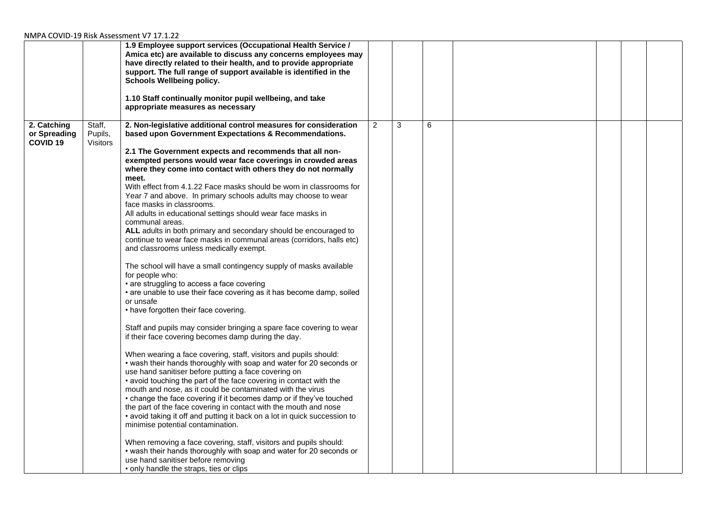|                                                |                                      | 1.9 Employee support services (Occupational Health Service /<br>Amica etc) are available to discuss any concerns employees may<br>have directly related to their health, and to provide appropriate<br>support. The full range of support available is identified in the<br><b>Schools Wellbeing policy.</b><br>1.10 Staff continually monitor pupil wellbeing, and take<br>appropriate measures as necessary                                                                                                                                                                                                                                                                                                                                                                                                                                                                                                                                                                                                                                                                                                                                                                                                                                                                                                                                                                                                                                                                                                                                                                                                                                                                                                                                                                                                                                                                                                                                                                                                       |                |   |   |  |  |
|------------------------------------------------|--------------------------------------|---------------------------------------------------------------------------------------------------------------------------------------------------------------------------------------------------------------------------------------------------------------------------------------------------------------------------------------------------------------------------------------------------------------------------------------------------------------------------------------------------------------------------------------------------------------------------------------------------------------------------------------------------------------------------------------------------------------------------------------------------------------------------------------------------------------------------------------------------------------------------------------------------------------------------------------------------------------------------------------------------------------------------------------------------------------------------------------------------------------------------------------------------------------------------------------------------------------------------------------------------------------------------------------------------------------------------------------------------------------------------------------------------------------------------------------------------------------------------------------------------------------------------------------------------------------------------------------------------------------------------------------------------------------------------------------------------------------------------------------------------------------------------------------------------------------------------------------------------------------------------------------------------------------------------------------------------------------------------------------------------------------------|----------------|---|---|--|--|
| 2. Catching<br>or Spreading<br><b>COVID 19</b> | Staff,<br>Pupils,<br><b>Visitors</b> | 2. Non-legislative additional control measures for consideration<br>based upon Government Expectations & Recommendations.<br>2.1 The Government expects and recommends that all non-<br>exempted persons would wear face coverings in crowded areas<br>where they come into contact with others they do not normally<br>meet.<br>With effect from 4.1.22 Face masks should be worn in classrooms for<br>Year 7 and above. In primary schools adults may choose to wear<br>face masks in classrooms.<br>All adults in educational settings should wear face masks in<br>communal areas.<br>ALL adults in both primary and secondary should be encouraged to<br>continue to wear face masks in communal areas (corridors, halls etc)<br>and classrooms unless medically exempt.<br>The school will have a small contingency supply of masks available<br>for people who:<br>• are struggling to access a face covering<br>• are unable to use their face covering as it has become damp, soiled<br>or unsafe<br>• have forgotten their face covering.<br>Staff and pupils may consider bringing a spare face covering to wear<br>if their face covering becomes damp during the day.<br>When wearing a face covering, staff, visitors and pupils should:<br>• wash their hands thoroughly with soap and water for 20 seconds or<br>use hand sanitiser before putting a face covering on<br>• avoid touching the part of the face covering in contact with the<br>mouth and nose, as it could be contaminated with the virus<br>• change the face covering if it becomes damp or if they've touched<br>the part of the face covering in contact with the mouth and nose<br>• avoid taking it off and putting it back on a lot in quick succession to<br>minimise potential contamination.<br>When removing a face covering, staff, visitors and pupils should:<br>• wash their hands thoroughly with soap and water for 20 seconds or<br>use hand sanitiser before removing<br>• only handle the straps, ties or clips | $\overline{2}$ | 3 | 6 |  |  |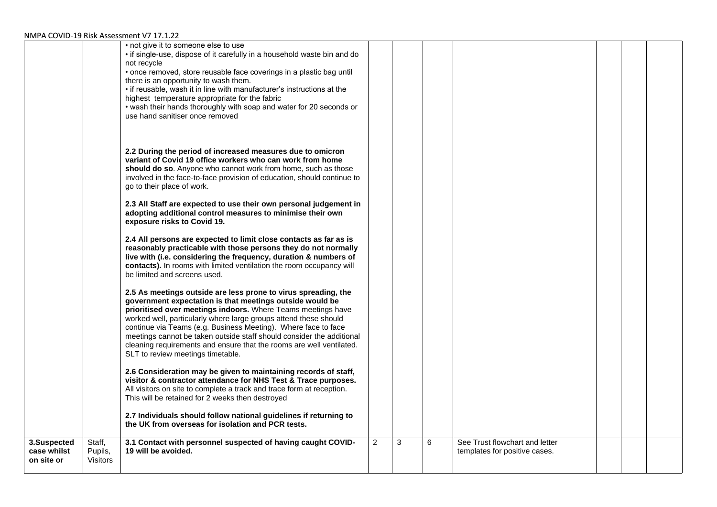|                                          |                                      | • not give it to someone else to use<br>• if single-use, dispose of it carefully in a household waste bin and do<br>not recycle<br>• once removed, store reusable face coverings in a plastic bag until<br>there is an opportunity to wash them.<br>• if reusable, wash it in line with manufacturer's instructions at the<br>highest temperature appropriate for the fabric<br>• wash their hands thoroughly with soap and water for 20 seconds or<br>use hand sanitiser once removed                                 |                |   |   |                                                                 |  |  |
|------------------------------------------|--------------------------------------|------------------------------------------------------------------------------------------------------------------------------------------------------------------------------------------------------------------------------------------------------------------------------------------------------------------------------------------------------------------------------------------------------------------------------------------------------------------------------------------------------------------------|----------------|---|---|-----------------------------------------------------------------|--|--|
|                                          |                                      | 2.2 During the period of increased measures due to omicron<br>variant of Covid 19 office workers who can work from home<br>should do so. Anyone who cannot work from home, such as those<br>involved in the face-to-face provision of education, should continue to<br>go to their place of work.                                                                                                                                                                                                                      |                |   |   |                                                                 |  |  |
|                                          |                                      | 2.3 All Staff are expected to use their own personal judgement in<br>adopting additional control measures to minimise their own<br>exposure risks to Covid 19.                                                                                                                                                                                                                                                                                                                                                         |                |   |   |                                                                 |  |  |
|                                          |                                      | 2.4 All persons are expected to limit close contacts as far as is<br>reasonably practicable with those persons they do not normally<br>live with (i.e. considering the frequency, duration & numbers of<br>contacts). In rooms with limited ventilation the room occupancy will<br>be limited and screens used.                                                                                                                                                                                                        |                |   |   |                                                                 |  |  |
|                                          |                                      | 2.5 As meetings outside are less prone to virus spreading, the<br>government expectation is that meetings outside would be<br>prioritised over meetings indoors. Where Teams meetings have<br>worked well, particularly where large groups attend these should<br>continue via Teams (e.g. Business Meeting). Where face to face<br>meetings cannot be taken outside staff should consider the additional<br>cleaning requirements and ensure that the rooms are well ventilated.<br>SLT to review meetings timetable. |                |   |   |                                                                 |  |  |
|                                          |                                      | 2.6 Consideration may be given to maintaining records of staff,<br>visitor & contractor attendance for NHS Test & Trace purposes.<br>All visitors on site to complete a track and trace form at reception.<br>This will be retained for 2 weeks then destroyed                                                                                                                                                                                                                                                         |                |   |   |                                                                 |  |  |
|                                          |                                      | 2.7 Individuals should follow national guidelines if returning to<br>the UK from overseas for isolation and PCR tests.                                                                                                                                                                                                                                                                                                                                                                                                 |                |   |   |                                                                 |  |  |
| 3.Suspected<br>case whilst<br>on site or | Staff,<br>Pupils,<br><b>Visitors</b> | 3.1 Contact with personnel suspected of having caught COVID-<br>19 will be avoided.                                                                                                                                                                                                                                                                                                                                                                                                                                    | $\overline{2}$ | 3 | 6 | See Trust flowchart and letter<br>templates for positive cases. |  |  |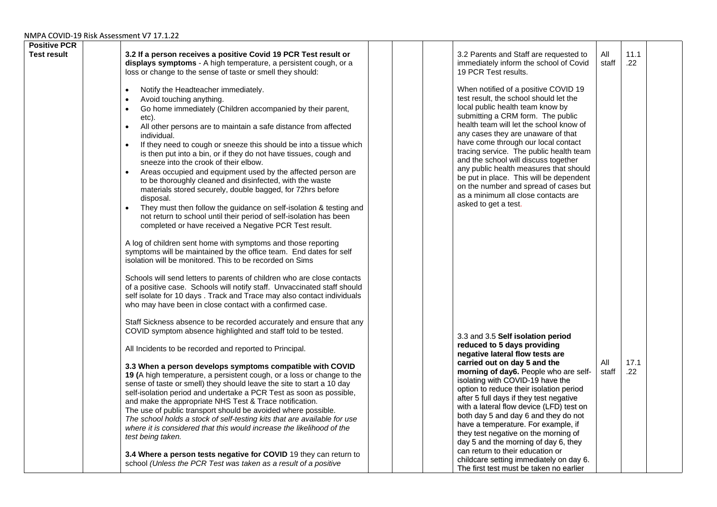| <b>Positive PCR</b><br><b>Test result</b> | 3.2 If a person receives a positive Covid 19 PCR Test result or<br>displays symptoms - A high temperature, a persistent cough, or a<br>loss or change to the sense of taste or smell they should:<br>Notify the Headteacher immediately.<br>$\bullet$<br>Avoid touching anything.<br>$\bullet$<br>Go home immediately (Children accompanied by their parent,<br>$\bullet$<br>etc).<br>All other persons are to maintain a safe distance from affected<br>$\bullet$<br>individual.                                                                                                                                                                                                                     |  | 3.2 Parents and Staff are requested to<br>immediately inform the school of Covid<br>19 PCR Test results.<br>When notified of a positive COVID 19<br>test result, the school should let the<br>local public health team know by<br>submitting a CRM form. The public<br>health team will let the school know of<br>any cases they are unaware of that                                                                                                                              | All<br>staff | 11.1<br>.22     |  |
|-------------------------------------------|-------------------------------------------------------------------------------------------------------------------------------------------------------------------------------------------------------------------------------------------------------------------------------------------------------------------------------------------------------------------------------------------------------------------------------------------------------------------------------------------------------------------------------------------------------------------------------------------------------------------------------------------------------------------------------------------------------|--|-----------------------------------------------------------------------------------------------------------------------------------------------------------------------------------------------------------------------------------------------------------------------------------------------------------------------------------------------------------------------------------------------------------------------------------------------------------------------------------|--------------|-----------------|--|
|                                           | If they need to cough or sneeze this should be into a tissue which<br>$\bullet$<br>is then put into a bin, or if they do not have tissues, cough and<br>sneeze into the crook of their elbow.<br>Areas occupied and equipment used by the affected person are<br>$\bullet$<br>to be thoroughly cleaned and disinfected, with the waste<br>materials stored securely, double bagged, for 72hrs before<br>disposal.<br>They must then follow the guidance on self-isolation & testing and<br>$\bullet$<br>not return to school until their period of self-isolation has been<br>completed or have received a Negative PCR Test result.<br>A log of children sent home with symptoms and those reporting |  | have come through our local contact<br>tracing service. The public health team<br>and the school will discuss together<br>any public health measures that should<br>be put in place. This will be dependent<br>on the number and spread of cases but<br>as a minimum all close contacts are<br>asked to get a test.                                                                                                                                                               |              |                 |  |
|                                           | symptoms will be maintained by the office team. End dates for self<br>isolation will be monitored. This to be recorded on Sims<br>Schools will send letters to parents of children who are close contacts<br>of a positive case. Schools will notify staff. Unvaccinated staff should<br>self isolate for 10 days. Track and Trace may also contact individuals<br>who may have been in close contact with a confirmed case.<br>Staff Sickness absence to be recorded accurately and ensure that any<br>COVID symptom absence highlighted and staff told to be tested.                                                                                                                                |  | 3.3 and 3.5 Self isolation period<br>reduced to 5 days providing                                                                                                                                                                                                                                                                                                                                                                                                                  |              |                 |  |
|                                           | All Incidents to be recorded and reported to Principal.<br>3.3 When a person develops symptoms compatible with COVID<br>19 (A high temperature, a persistent cough, or a loss or change to the<br>sense of taste or smell) they should leave the site to start a 10 day<br>self-isolation period and undertake a PCR Test as soon as possible,<br>and make the appropriate NHS Test & Trace notification.<br>The use of public transport should be avoided where possible.<br>The school holds a stock of self-testing kits that are available for use<br>where it is considered that this would increase the likelihood of the<br>test being taken.                                                  |  | negative lateral flow tests are<br>carried out on day 5 and the<br>morning of day6. People who are self-<br>isolating with COVID-19 have the<br>option to reduce their isolation period<br>after 5 full days if they test negative<br>with a lateral flow device (LFD) test on<br>both day 5 and day 6 and they do not<br>have a temperature. For example, if<br>they test negative on the morning of<br>day 5 and the morning of day 6, they<br>can return to their education or | All<br>staff | 17.1<br>$.22\,$ |  |
|                                           | 3.4 Where a person tests negative for COVID 19 they can return to<br>school (Unless the PCR Test was taken as a result of a positive                                                                                                                                                                                                                                                                                                                                                                                                                                                                                                                                                                  |  | childcare setting immediately on day 6.<br>The first test must be taken no earlier                                                                                                                                                                                                                                                                                                                                                                                                |              |                 |  |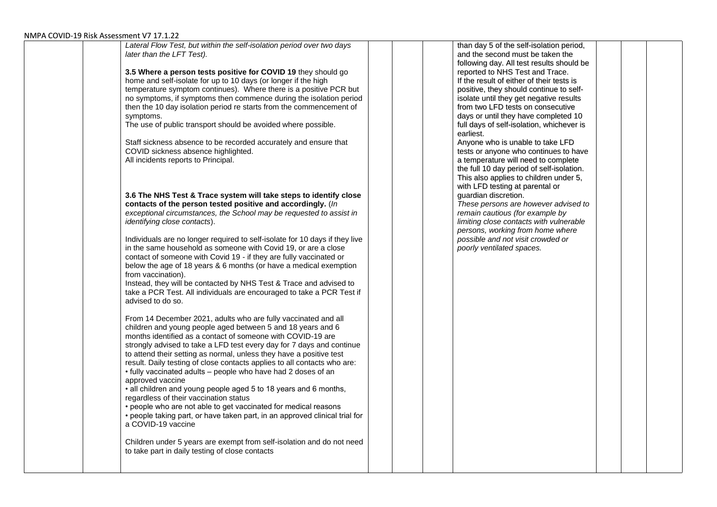| PA COVID-19 KISK ASSESSMENT V7 17.1.22                                      |                                           |  |
|-----------------------------------------------------------------------------|-------------------------------------------|--|
| Lateral Flow Test, but within the self-isolation period over two days       | than day 5 of the self-isolation period,  |  |
| later than the LFT Test).                                                   | and the second must be taken the          |  |
|                                                                             | following day. All test results should be |  |
| 3.5 Where a person tests positive for COVID 19 they should go               | reported to NHS Test and Trace.           |  |
| home and self-isolate for up to 10 days (or longer if the high              | If the result of either of their tests is |  |
| temperature symptom continues). Where there is a positive PCR but           | positive, they should continue to self-   |  |
| no symptoms, if symptoms then commence during the isolation period          | isolate until they get negative results   |  |
| then the 10 day isolation period re starts from the commencement of         | from two LFD tests on consecutive         |  |
|                                                                             |                                           |  |
| symptoms.                                                                   | days or until they have completed 10      |  |
| The use of public transport should be avoided where possible.               | full days of self-isolation, whichever is |  |
|                                                                             | earliest.                                 |  |
| Staff sickness absence to be recorded accurately and ensure that            | Anyone who is unable to take LFD          |  |
| COVID sickness absence highlighted.                                         | tests or anyone who continues to have     |  |
| All incidents reports to Principal.                                         | a temperature will need to complete       |  |
|                                                                             | the full 10 day period of self-isolation. |  |
|                                                                             | This also applies to children under 5,    |  |
|                                                                             | with LFD testing at parental or           |  |
| 3.6 The NHS Test & Trace system will take steps to identify close           | guardian discretion.                      |  |
| contacts of the person tested positive and accordingly. (In                 | These persons are however advised to      |  |
| exceptional circumstances, the School may be requested to assist in         | remain cautious (for example by           |  |
| identifying close contacts).                                                | limiting close contacts with vulnerable   |  |
|                                                                             |                                           |  |
|                                                                             | persons, working from home where          |  |
| Individuals are no longer required to self-isolate for 10 days if they live | possible and not visit crowded or         |  |
| in the same household as someone with Covid 19, or are a close              | poorly ventilated spaces.                 |  |
| contact of someone with Covid 19 - if they are fully vaccinated or          |                                           |  |
| below the age of 18 years & 6 months (or have a medical exemption           |                                           |  |
| from vaccination).                                                          |                                           |  |
| Instead, they will be contacted by NHS Test & Trace and advised to          |                                           |  |
| take a PCR Test. All individuals are encouraged to take a PCR Test if       |                                           |  |
| advised to do so.                                                           |                                           |  |
|                                                                             |                                           |  |
| From 14 December 2021, adults who are fully vaccinated and all              |                                           |  |
| children and young people aged between 5 and 18 years and 6                 |                                           |  |
| months identified as a contact of someone with COVID-19 are                 |                                           |  |
| strongly advised to take a LFD test every day for 7 days and continue       |                                           |  |
|                                                                             |                                           |  |
| to attend their setting as normal, unless they have a positive test         |                                           |  |
| result. Daily testing of close contacts applies to all contacts who are:    |                                           |  |
| • fully vaccinated adults - people who have had 2 doses of an               |                                           |  |
| approved vaccine                                                            |                                           |  |
| • all children and young people aged 5 to 18 years and 6 months,            |                                           |  |
| regardless of their vaccination status                                      |                                           |  |
| • people who are not able to get vaccinated for medical reasons             |                                           |  |
| • people taking part, or have taken part, in an approved clinical trial for |                                           |  |
| a COVID-19 vaccine                                                          |                                           |  |
|                                                                             |                                           |  |
| Children under 5 years are exempt from self-isolation and do not need       |                                           |  |
| to take part in daily testing of close contacts                             |                                           |  |
|                                                                             |                                           |  |
|                                                                             |                                           |  |
|                                                                             |                                           |  |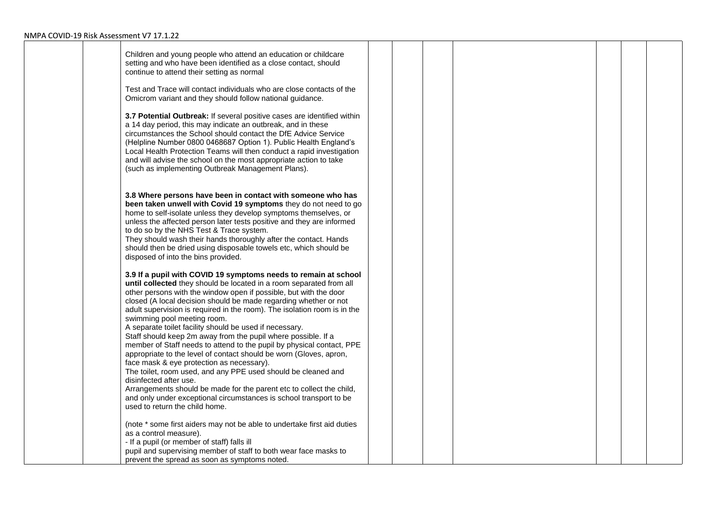| Children and young people who attend an education or childcare<br>setting and who have been identified as a close contact, should<br>continue to attend their setting as normal<br>Test and Trace will contact individuals who are close contacts of the<br>Omicrom variant and they should follow national guidance.<br>3.7 Potential Outbreak: If several positive cases are identified within<br>a 14 day period, this may indicate an outbreak, and in these                                                                                                                                                                                                                                                                                                                                              |  |  |  |  |
|---------------------------------------------------------------------------------------------------------------------------------------------------------------------------------------------------------------------------------------------------------------------------------------------------------------------------------------------------------------------------------------------------------------------------------------------------------------------------------------------------------------------------------------------------------------------------------------------------------------------------------------------------------------------------------------------------------------------------------------------------------------------------------------------------------------|--|--|--|--|
| circumstances the School should contact the DfE Advice Service<br>(Helpline Number 0800 0468687 Option 1). Public Health England's<br>Local Health Protection Teams will then conduct a rapid investigation<br>and will advise the school on the most appropriate action to take<br>(such as implementing Outbreak Management Plans).                                                                                                                                                                                                                                                                                                                                                                                                                                                                         |  |  |  |  |
| 3.8 Where persons have been in contact with someone who has<br>been taken unwell with Covid 19 symptoms they do not need to go<br>home to self-isolate unless they develop symptoms themselves, or<br>unless the affected person later tests positive and they are informed<br>to do so by the NHS Test & Trace system.<br>They should wash their hands thoroughly after the contact. Hands<br>should then be dried using disposable towels etc, which should be<br>disposed of into the bins provided.                                                                                                                                                                                                                                                                                                       |  |  |  |  |
| 3.9 If a pupil with COVID 19 symptoms needs to remain at school<br>until collected they should be located in a room separated from all<br>other persons with the window open if possible, but with the door<br>closed (A local decision should be made regarding whether or not<br>adult supervision is required in the room). The isolation room is in the<br>swimming pool meeting room.<br>A separate toilet facility should be used if necessary.<br>Staff should keep 2m away from the pupil where possible. If a<br>member of Staff needs to attend to the pupil by physical contact, PPE<br>appropriate to the level of contact should be worn (Gloves, apron,<br>face mask & eye protection as necessary).<br>The toilet, room used, and any PPE used should be cleaned and<br>disinfected after use. |  |  |  |  |
| Arrangements should be made for the parent etc to collect the child,<br>and only under exceptional circumstances is school transport to be<br>used to return the child home.                                                                                                                                                                                                                                                                                                                                                                                                                                                                                                                                                                                                                                  |  |  |  |  |
| (note * some first aiders may not be able to undertake first aid duties<br>as a control measure).<br>- If a pupil (or member of staff) falls ill<br>pupil and supervising member of staff to both wear face masks to<br>prevent the spread as soon as symptoms noted.                                                                                                                                                                                                                                                                                                                                                                                                                                                                                                                                         |  |  |  |  |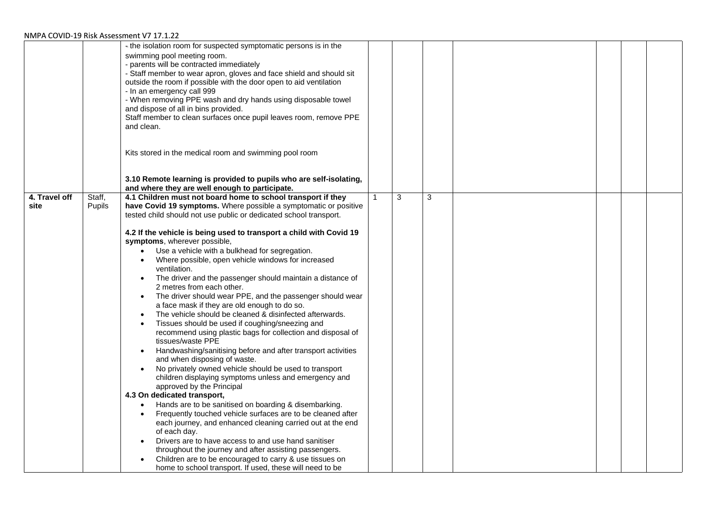|                       |                  | - the isolation room for suspected symptomatic persons is in the<br>swimming pool meeting room.<br>- parents will be contracted immediately<br>- Staff member to wear apron, gloves and face shield and should sit<br>outside the room if possible with the door open to aid ventilation<br>- In an emergency call 999<br>- When removing PPE wash and dry hands using disposable towel<br>and dispose of all in bins provided.<br>Staff member to clean surfaces once pupil leaves room, remove PPE<br>and clean.<br>Kits stored in the medical room and swimming pool room<br>3.10 Remote learning is provided to pupils who are self-isolating,<br>and where they are well enough to participate.                                                                                                                                                                                                                                                                                                                                                                                                                                                                                                                                                                                                                                                                                                                                                                                                                                                                                                   |   |   |  |  |
|-----------------------|------------------|--------------------------------------------------------------------------------------------------------------------------------------------------------------------------------------------------------------------------------------------------------------------------------------------------------------------------------------------------------------------------------------------------------------------------------------------------------------------------------------------------------------------------------------------------------------------------------------------------------------------------------------------------------------------------------------------------------------------------------------------------------------------------------------------------------------------------------------------------------------------------------------------------------------------------------------------------------------------------------------------------------------------------------------------------------------------------------------------------------------------------------------------------------------------------------------------------------------------------------------------------------------------------------------------------------------------------------------------------------------------------------------------------------------------------------------------------------------------------------------------------------------------------------------------------------------------------------------------------------|---|---|--|--|
| 4. Travel off<br>site | Staff,<br>Pupils | 4.1 Children must not board home to school transport if they<br>have Covid 19 symptoms. Where possible a symptomatic or positive<br>tested child should not use public or dedicated school transport.<br>4.2 If the vehicle is being used to transport a child with Covid 19<br>symptoms, wherever possible,<br>Use a vehicle with a bulkhead for segregation.<br>Where possible, open vehicle windows for increased<br>ventilation.<br>The driver and the passenger should maintain a distance of<br>2 metres from each other.<br>The driver should wear PPE, and the passenger should wear<br>$\bullet$<br>a face mask if they are old enough to do so.<br>The vehicle should be cleaned & disinfected afterwards.<br>Tissues should be used if coughing/sneezing and<br>recommend using plastic bags for collection and disposal of<br>tissues/waste PPE<br>Handwashing/sanitising before and after transport activities<br>and when disposing of waste.<br>No privately owned vehicle should be used to transport<br>children displaying symptoms unless and emergency and<br>approved by the Principal<br>4.3 On dedicated transport,<br>Hands are to be sanitised on boarding & disembarking.<br>$\bullet$<br>Frequently touched vehicle surfaces are to be cleaned after<br>each journey, and enhanced cleaning carried out at the end<br>of each day.<br>Drivers are to have access to and use hand sanitiser<br>throughout the journey and after assisting passengers.<br>Children are to be encouraged to carry & use tissues on<br>home to school transport. If used, these will need to be | 3 | 3 |  |  |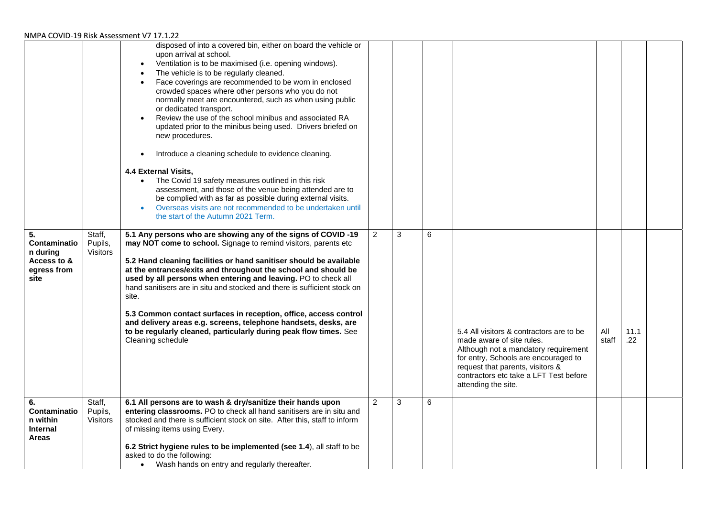| 5.<br>Contaminatio<br>n during<br>Access to &<br>egress from<br>site | Staff,<br>Pupils,<br>Visitors | disposed of into a covered bin, either on board the vehicle or<br>upon arrival at school.<br>Ventilation is to be maximised (i.e. opening windows).<br>$\bullet$<br>The vehicle is to be regularly cleaned.<br>$\bullet$<br>Face coverings are recommended to be worn in enclosed<br>$\bullet$<br>crowded spaces where other persons who you do not<br>normally meet are encountered, such as when using public<br>or dedicated transport.<br>Review the use of the school minibus and associated RA<br>updated prior to the minibus being used. Drivers briefed on<br>new procedures.<br>Introduce a cleaning schedule to evidence cleaning.<br>4.4 External Visits,<br>The Covid 19 safety measures outlined in this risk<br>$\bullet$<br>assessment, and those of the venue being attended are to<br>be complied with as far as possible during external visits.<br>Overseas visits are not recommended to be undertaken until<br>the start of the Autumn 2021 Term.<br>5.1 Any persons who are showing any of the signs of COVID -19<br>may NOT come to school. Signage to remind visitors, parents etc<br>5.2 Hand cleaning facilities or hand sanitiser should be available<br>at the entrances/exits and throughout the school and should be<br>used by all persons when entering and leaving. PO to check all<br>hand sanitisers are in situ and stocked and there is sufficient stock on<br>site.<br>5.3 Common contact surfaces in reception, office, access control<br>and delivery areas e.g. screens, telephone handsets, desks, are<br>to be regularly cleaned, particularly during peak flow times. See<br>Cleaning schedule | $\overline{2}$<br>$\overline{2}$ | 3<br>3 | 6 | 5.4 All visitors & contractors are to be<br>made aware of site rules.<br>Although not a mandatory requirement<br>for entry, Schools are encouraged to<br>request that parents, visitors &<br>contractors etc take a LFT Test before<br>attending the site. | All<br>staff | 11.1<br>$.22\,$ |  |
|----------------------------------------------------------------------|-------------------------------|---------------------------------------------------------------------------------------------------------------------------------------------------------------------------------------------------------------------------------------------------------------------------------------------------------------------------------------------------------------------------------------------------------------------------------------------------------------------------------------------------------------------------------------------------------------------------------------------------------------------------------------------------------------------------------------------------------------------------------------------------------------------------------------------------------------------------------------------------------------------------------------------------------------------------------------------------------------------------------------------------------------------------------------------------------------------------------------------------------------------------------------------------------------------------------------------------------------------------------------------------------------------------------------------------------------------------------------------------------------------------------------------------------------------------------------------------------------------------------------------------------------------------------------------------------------------------------------------------------------------------------------------|----------------------------------|--------|---|------------------------------------------------------------------------------------------------------------------------------------------------------------------------------------------------------------------------------------------------------------|--------------|-----------------|--|
| 6.<br>Contaminatio<br>n within<br><b>Internal</b><br><b>Areas</b>    | Staff,<br>Pupils,<br>Visitors | 6.1 All persons are to wash & dry/sanitize their hands upon<br>entering classrooms. PO to check all hand sanitisers are in situ and<br>stocked and there is sufficient stock on site. After this, staff to inform<br>of missing items using Every.<br>6.2 Strict hygiene rules to be implemented (see 1.4), all staff to be<br>asked to do the following:<br>• Wash hands on entry and requiarly thereafter.                                                                                                                                                                                                                                                                                                                                                                                                                                                                                                                                                                                                                                                                                                                                                                                                                                                                                                                                                                                                                                                                                                                                                                                                                                |                                  |        | 6 |                                                                                                                                                                                                                                                            |              |                 |  |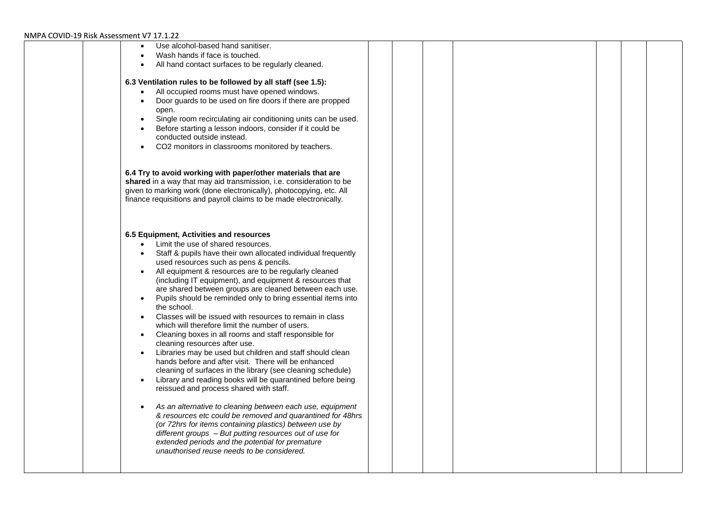| Use alcohol-based hand sanitiser.                                                                                                         |  |  |  |  |
|-------------------------------------------------------------------------------------------------------------------------------------------|--|--|--|--|
| Wash hands if face is touched.                                                                                                            |  |  |  |  |
| All hand contact surfaces to be regularly cleaned.                                                                                        |  |  |  |  |
|                                                                                                                                           |  |  |  |  |
| 6.3 Ventilation rules to be followed by all staff (see 1.5):                                                                              |  |  |  |  |
| All occupied rooms must have opened windows.                                                                                              |  |  |  |  |
| Door guards to be used on fire doors if there are propped                                                                                 |  |  |  |  |
| open.<br>Single room recirculating air conditioning units can be used.                                                                    |  |  |  |  |
| Before starting a lesson indoors, consider if it could be                                                                                 |  |  |  |  |
| conducted outside instead.                                                                                                                |  |  |  |  |
| CO2 monitors in classrooms monitored by teachers.                                                                                         |  |  |  |  |
|                                                                                                                                           |  |  |  |  |
|                                                                                                                                           |  |  |  |  |
| 6.4 Try to avoid working with paper/other materials that are                                                                              |  |  |  |  |
| shared in a way that may aid transmission, i.e. consideration to be                                                                       |  |  |  |  |
| given to marking work (done electronically), photocopying, etc. All<br>finance requisitions and payroll claims to be made electronically. |  |  |  |  |
|                                                                                                                                           |  |  |  |  |
|                                                                                                                                           |  |  |  |  |
|                                                                                                                                           |  |  |  |  |
| 6.5 Equipment, Activities and resources                                                                                                   |  |  |  |  |
| Limit the use of shared resources.                                                                                                        |  |  |  |  |
| Staff & pupils have their own allocated individual frequently                                                                             |  |  |  |  |
| used resources such as pens & pencils.                                                                                                    |  |  |  |  |
| All equipment & resources are to be regularly cleaned                                                                                     |  |  |  |  |
| (including IT equipment), and equipment & resources that                                                                                  |  |  |  |  |
| are shared between groups are cleaned between each use.<br>Pupils should be reminded only to bring essential items into<br>$\bullet$      |  |  |  |  |
| the school.                                                                                                                               |  |  |  |  |
| Classes will be issued with resources to remain in class                                                                                  |  |  |  |  |
| which will therefore limit the number of users.                                                                                           |  |  |  |  |
| Cleaning boxes in all rooms and staff responsible for                                                                                     |  |  |  |  |
| cleaning resources after use.                                                                                                             |  |  |  |  |
| Libraries may be used but children and staff should clean                                                                                 |  |  |  |  |
| hands before and after visit. There will be enhanced                                                                                      |  |  |  |  |
| cleaning of surfaces in the library (see cleaning schedule)                                                                               |  |  |  |  |
| Library and reading books will be quarantined before being<br>$\bullet$                                                                   |  |  |  |  |
| reissued and process shared with staff.                                                                                                   |  |  |  |  |
| As an alternative to cleaning between each use, equipment                                                                                 |  |  |  |  |
| & resources etc could be removed and quarantined for 48hrs                                                                                |  |  |  |  |
| (or 72hrs for items containing plastics) between use by                                                                                   |  |  |  |  |
| different groups - But putting resources out of use for                                                                                   |  |  |  |  |
| extended periods and the potential for premature                                                                                          |  |  |  |  |
| unauthorised reuse needs to be considered.                                                                                                |  |  |  |  |
|                                                                                                                                           |  |  |  |  |
|                                                                                                                                           |  |  |  |  |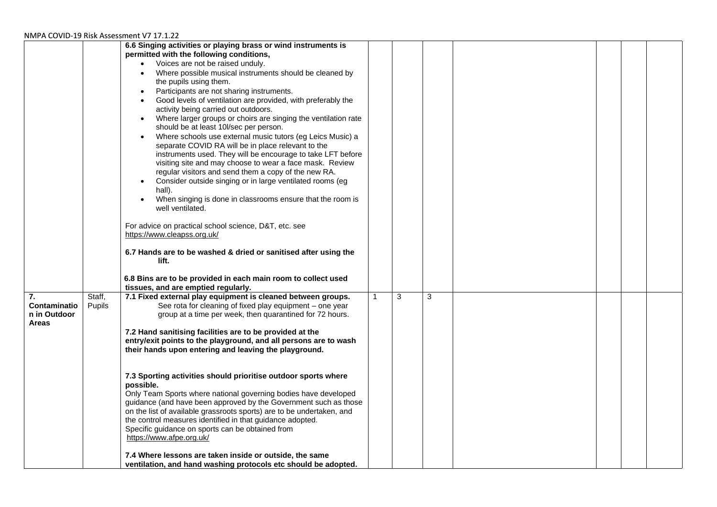|              |        | 6.6 Singing activities or playing brass or wind instruments is<br>permitted with the following conditions,                |   |   |  |  |
|--------------|--------|---------------------------------------------------------------------------------------------------------------------------|---|---|--|--|
|              |        | Voices are not be raised unduly.<br>$\bullet$                                                                             |   |   |  |  |
|              |        | Where possible musical instruments should be cleaned by                                                                   |   |   |  |  |
|              |        | the pupils using them.                                                                                                    |   |   |  |  |
|              |        |                                                                                                                           |   |   |  |  |
|              |        | Participants are not sharing instruments.                                                                                 |   |   |  |  |
|              |        | Good levels of ventilation are provided, with preferably the<br>$\bullet$                                                 |   |   |  |  |
|              |        | activity being carried out outdoors.                                                                                      |   |   |  |  |
|              |        | Where larger groups or choirs are singing the ventilation rate<br>should be at least 10l/sec per person.                  |   |   |  |  |
|              |        | Where schools use external music tutors (eg Leics Music) a                                                                |   |   |  |  |
|              |        | separate COVID RA will be in place relevant to the                                                                        |   |   |  |  |
|              |        | instruments used. They will be encourage to take LFT before                                                               |   |   |  |  |
|              |        | visiting site and may choose to wear a face mask. Review                                                                  |   |   |  |  |
|              |        | regular visitors and send them a copy of the new RA.                                                                      |   |   |  |  |
|              |        | Consider outside singing or in large ventilated rooms (eg<br>$\bullet$                                                    |   |   |  |  |
|              |        | hall).                                                                                                                    |   |   |  |  |
|              |        | When singing is done in classrooms ensure that the room is                                                                |   |   |  |  |
|              |        | well ventilated.                                                                                                          |   |   |  |  |
|              |        |                                                                                                                           |   |   |  |  |
|              |        | For advice on practical school science, D&T, etc. see                                                                     |   |   |  |  |
|              |        | https://www.cleapss.org.uk/                                                                                               |   |   |  |  |
|              |        |                                                                                                                           |   |   |  |  |
|              |        | 6.7 Hands are to be washed & dried or sanitised after using the                                                           |   |   |  |  |
|              |        | lift.                                                                                                                     |   |   |  |  |
|              |        |                                                                                                                           |   |   |  |  |
|              |        | 6.8 Bins are to be provided in each main room to collect used                                                             |   |   |  |  |
|              |        | tissues, and are emptied regularly.                                                                                       |   |   |  |  |
| 7.           | Staff, | 7.1 Fixed external play equipment is cleaned between groups.                                                              | 3 | 3 |  |  |
| Contaminatio | Pupils | See rota for cleaning of fixed play equipment - one year                                                                  |   |   |  |  |
| n in Outdoor |        | group at a time per week, then quarantined for 72 hours.                                                                  |   |   |  |  |
| <b>Areas</b> |        |                                                                                                                           |   |   |  |  |
|              |        | 7.2 Hand sanitising facilities are to be provided at the                                                                  |   |   |  |  |
|              |        | entry/exit points to the playground, and all persons are to wash<br>their hands upon entering and leaving the playground. |   |   |  |  |
|              |        |                                                                                                                           |   |   |  |  |
|              |        |                                                                                                                           |   |   |  |  |
|              |        | 7.3 Sporting activities should prioritise outdoor sports where                                                            |   |   |  |  |
|              |        | possible.                                                                                                                 |   |   |  |  |
|              |        | Only Team Sports where national governing bodies have developed                                                           |   |   |  |  |
|              |        | guidance (and have been approved by the Government such as those                                                          |   |   |  |  |
|              |        | on the list of available grassroots sports) are to be undertaken, and                                                     |   |   |  |  |
|              |        | the control measures identified in that guidance adopted.                                                                 |   |   |  |  |
|              |        | Specific guidance on sports can be obtained from                                                                          |   |   |  |  |
|              |        | https://www.afpe.org.uk/                                                                                                  |   |   |  |  |
|              |        |                                                                                                                           |   |   |  |  |
|              |        | 7.4 Where lessons are taken inside or outside, the same                                                                   |   |   |  |  |
|              |        | ventilation, and hand washing protocols etc should be adopted.                                                            |   |   |  |  |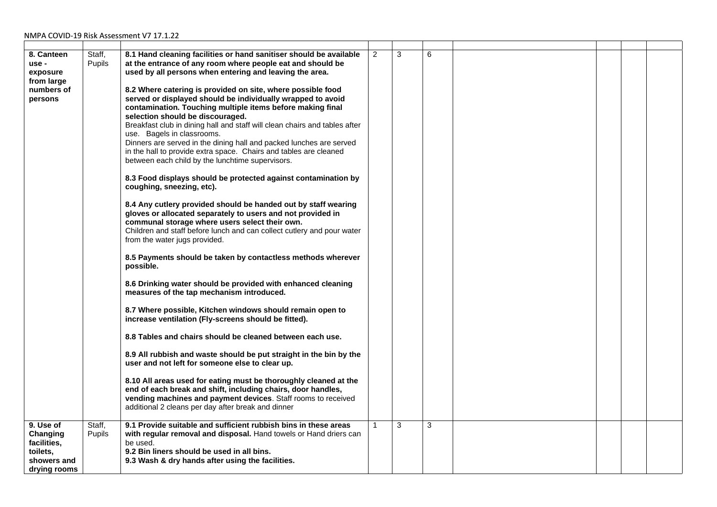| 8. Canteen<br>use -<br>exposure<br>from large<br>numbers of<br>persons<br>9. Use of | Staff,<br>Pupils<br>Staff, | 8.1 Hand cleaning facilities or hand sanitiser should be available<br>at the entrance of any room where people eat and should be<br>used by all persons when entering and leaving the area.<br>8.2 Where catering is provided on site, where possible food<br>served or displayed should be individually wrapped to avoid<br>contamination. Touching multiple items before making final<br>selection should be discouraged.<br>Breakfast club in dining hall and staff will clean chairs and tables after<br>use. Bagels in classrooms.<br>Dinners are served in the dining hall and packed lunches are served<br>in the hall to provide extra space. Chairs and tables are cleaned<br>between each child by the lunchtime supervisors.<br>8.3 Food displays should be protected against contamination by<br>coughing, sneezing, etc).<br>8.4 Any cutlery provided should be handed out by staff wearing<br>gloves or allocated separately to users and not provided in<br>communal storage where users select their own.<br>Children and staff before lunch and can collect cutlery and pour water<br>from the water jugs provided.<br>8.5 Payments should be taken by contactless methods wherever<br>possible.<br>8.6 Drinking water should be provided with enhanced cleaning<br>measures of the tap mechanism introduced.<br>8.7 Where possible, Kitchen windows should remain open to<br>increase ventilation (Fly-screens should be fitted).<br>8.8 Tables and chairs should be cleaned between each use.<br>8.9 All rubbish and waste should be put straight in the bin by the<br>user and not left for someone else to clear up.<br>8.10 All areas used for eating must be thoroughly cleaned at the<br>end of each break and shift, including chairs, door handles,<br>vending machines and payment devices. Staff rooms to received<br>additional 2 cleans per day after break and dinner<br>9.1 Provide suitable and sufficient rubbish bins in these areas | $\overline{c}$ | 3<br>3 | 6<br>3 |  |  |
|-------------------------------------------------------------------------------------|----------------------------|-------------------------------------------------------------------------------------------------------------------------------------------------------------------------------------------------------------------------------------------------------------------------------------------------------------------------------------------------------------------------------------------------------------------------------------------------------------------------------------------------------------------------------------------------------------------------------------------------------------------------------------------------------------------------------------------------------------------------------------------------------------------------------------------------------------------------------------------------------------------------------------------------------------------------------------------------------------------------------------------------------------------------------------------------------------------------------------------------------------------------------------------------------------------------------------------------------------------------------------------------------------------------------------------------------------------------------------------------------------------------------------------------------------------------------------------------------------------------------------------------------------------------------------------------------------------------------------------------------------------------------------------------------------------------------------------------------------------------------------------------------------------------------------------------------------------------------------------------------------------------------------------------------------------------------------------------------------------------|----------------|--------|--------|--|--|
| Changing<br>facilities,<br>toilets,<br>showers and<br>drying rooms                  | <b>Pupils</b>              | with regular removal and disposal. Hand towels or Hand driers can<br>be used.<br>9.2 Bin liners should be used in all bins.<br>9.3 Wash & dry hands after using the facilities.                                                                                                                                                                                                                                                                                                                                                                                                                                                                                                                                                                                                                                                                                                                                                                                                                                                                                                                                                                                                                                                                                                                                                                                                                                                                                                                                                                                                                                                                                                                                                                                                                                                                                                                                                                                         |                |        |        |  |  |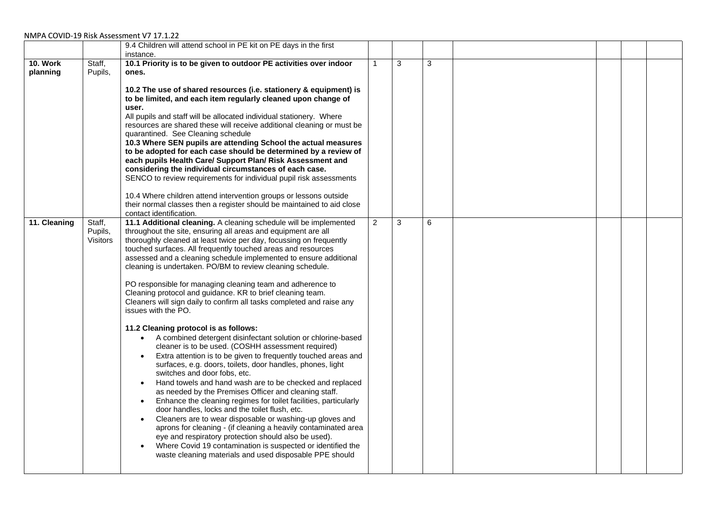|                             |                               | 9.4 Children will attend school in PE kit on PE days in the first<br>instance.                                                                                                                                                                                                                                                                                                                                                                                                                                                                                                                                                                                                                                                                                                                                                                                                                                                                                                                                                                                                                                                                                                                                                                                                                                                                                                                                                                                                                                                                                |                |   |              |  |  |
|-----------------------------|-------------------------------|---------------------------------------------------------------------------------------------------------------------------------------------------------------------------------------------------------------------------------------------------------------------------------------------------------------------------------------------------------------------------------------------------------------------------------------------------------------------------------------------------------------------------------------------------------------------------------------------------------------------------------------------------------------------------------------------------------------------------------------------------------------------------------------------------------------------------------------------------------------------------------------------------------------------------------------------------------------------------------------------------------------------------------------------------------------------------------------------------------------------------------------------------------------------------------------------------------------------------------------------------------------------------------------------------------------------------------------------------------------------------------------------------------------------------------------------------------------------------------------------------------------------------------------------------------------|----------------|---|--------------|--|--|
| <b>10. Work</b><br>planning | Staff,<br>Pupils,             | 10.1 Priority is to be given to outdoor PE activities over indoor<br>ones.<br>10.2 The use of shared resources (i.e. stationery & equipment) is<br>to be limited, and each item regularly cleaned upon change of<br>user.<br>All pupils and staff will be allocated individual stationery. Where<br>resources are shared these will receive additional cleaning or must be<br>quarantined. See Cleaning schedule<br>10.3 Where SEN pupils are attending School the actual measures<br>to be adopted for each case should be determined by a review of<br>each pupils Health Care/ Support Plan/ Risk Assessment and<br>considering the individual circumstances of each case.<br>SENCO to review requirements for individual pupil risk assessments<br>10.4 Where children attend intervention groups or lessons outside<br>their normal classes then a register should be maintained to aid close<br>contact identification.                                                                                                                                                                                                                                                                                                                                                                                                                                                                                                                                                                                                                                 |                | 3 | $\mathbf{3}$ |  |  |
| 11. Cleaning                | Staff,<br>Pupils,<br>Visitors | 11.1 Additional cleaning. A cleaning schedule will be implemented<br>throughout the site, ensuring all areas and equipment are all<br>thoroughly cleaned at least twice per day, focussing on frequently<br>touched surfaces. All frequently touched areas and resources<br>assessed and a cleaning schedule implemented to ensure additional<br>cleaning is undertaken. PO/BM to review cleaning schedule.<br>PO responsible for managing cleaning team and adherence to<br>Cleaning protocol and guidance. KR to brief cleaning team.<br>Cleaners will sign daily to confirm all tasks completed and raise any<br>issues with the PO.<br>11.2 Cleaning protocol is as follows:<br>• A combined detergent disinfectant solution or chlorine-based<br>cleaner is to be used. (COSHH assessment required)<br>Extra attention is to be given to frequently touched areas and<br>surfaces, e.g. doors, toilets, door handles, phones, light<br>switches and door fobs, etc.<br>Hand towels and hand wash are to be checked and replaced<br>$\bullet$<br>as needed by the Premises Officer and cleaning staff.<br>Enhance the cleaning regimes for toilet facilities, particularly<br>$\bullet$<br>door handles, locks and the toilet flush, etc.<br>Cleaners are to wear disposable or washing-up gloves and<br>aprons for cleaning - (if cleaning a heavily contaminated area<br>eye and respiratory protection should also be used).<br>Where Covid 19 contamination is suspected or identified the<br>waste cleaning materials and used disposable PPE should | $\overline{2}$ | 3 | 6            |  |  |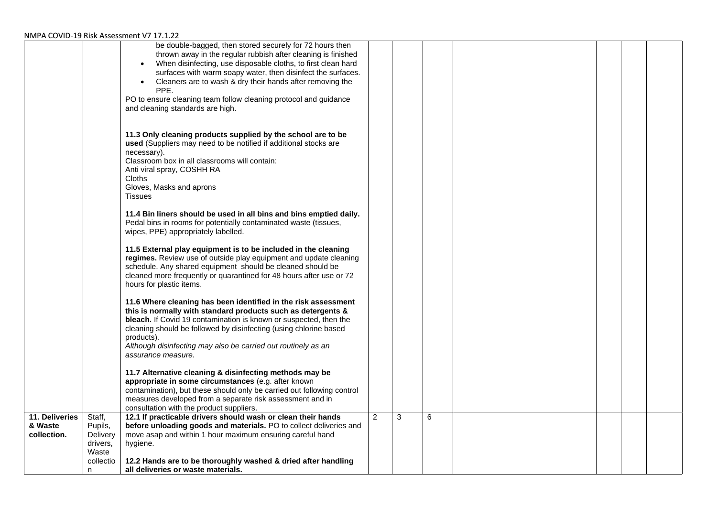|                                          |                                                    | be double-bagged, then stored securely for 72 hours then<br>thrown away in the regular rubbish after cleaning is finished<br>When disinfecting, use disposable cloths, to first clean hard<br>$\bullet$<br>surfaces with warm soapy water, then disinfect the surfaces.<br>Cleaners are to wash & dry their hands after removing the<br>$\bullet$<br>PPE.<br>PO to ensure cleaning team follow cleaning protocol and guidance |   |   |   |  |  |
|------------------------------------------|----------------------------------------------------|-------------------------------------------------------------------------------------------------------------------------------------------------------------------------------------------------------------------------------------------------------------------------------------------------------------------------------------------------------------------------------------------------------------------------------|---|---|---|--|--|
|                                          |                                                    | and cleaning standards are high.                                                                                                                                                                                                                                                                                                                                                                                              |   |   |   |  |  |
|                                          |                                                    | 11.3 Only cleaning products supplied by the school are to be<br>used (Suppliers may need to be notified if additional stocks are<br>necessary).<br>Classroom box in all classrooms will contain:<br>Anti viral spray, COSHH RA<br><b>Cloths</b><br>Gloves, Masks and aprons<br>Tissues                                                                                                                                        |   |   |   |  |  |
|                                          |                                                    | 11.4 Bin liners should be used in all bins and bins emptied daily.<br>Pedal bins in rooms for potentially contaminated waste (tissues,<br>wipes, PPE) appropriately labelled.                                                                                                                                                                                                                                                 |   |   |   |  |  |
|                                          |                                                    | 11.5 External play equipment is to be included in the cleaning<br>regimes. Review use of outside play equipment and update cleaning<br>schedule. Any shared equipment should be cleaned should be<br>cleaned more frequently or quarantined for 48 hours after use or 72<br>hours for plastic items.                                                                                                                          |   |   |   |  |  |
|                                          |                                                    | 11.6 Where cleaning has been identified in the risk assessment<br>this is normally with standard products such as detergents &<br>bleach. If Covid 19 contamination is known or suspected, then the<br>cleaning should be followed by disinfecting (using chlorine based<br>products).<br>Although disinfecting may also be carried out routinely as an<br>assurance measure.                                                 |   |   |   |  |  |
|                                          |                                                    | 11.7 Alternative cleaning & disinfecting methods may be<br>appropriate in some circumstances (e.g. after known<br>contamination), but these should only be carried out following control<br>measures developed from a separate risk assessment and in<br>consultation with the product suppliers.                                                                                                                             |   |   |   |  |  |
| 11. Deliveries<br>& Waste<br>collection. | Staff,<br>Pupils,<br>Delivery<br>drivers,<br>Waste | 12.1 If practicable drivers should wash or clean their hands<br>before unloading goods and materials. PO to collect deliveries and<br>move asap and within 1 hour maximum ensuring careful hand<br>hygiene.                                                                                                                                                                                                                   | 2 | 3 | 6 |  |  |
|                                          | collectio<br>n.                                    | 12.2 Hands are to be thoroughly washed & dried after handling<br>all deliveries or waste materials.                                                                                                                                                                                                                                                                                                                           |   |   |   |  |  |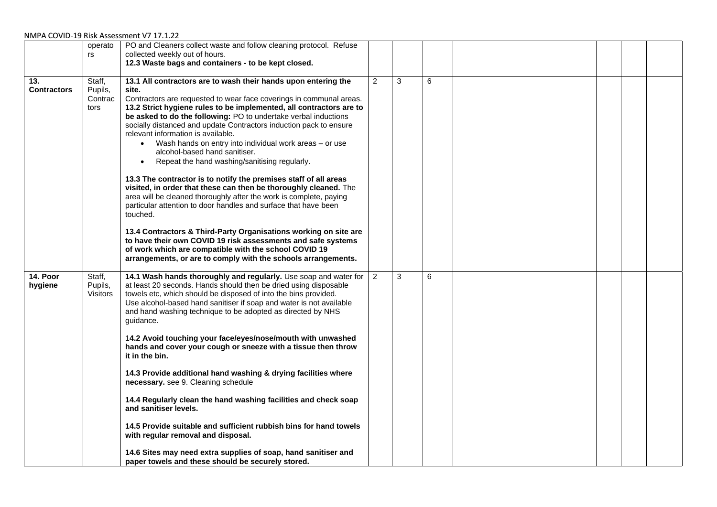|                           | operato                              | PO and Cleaners collect waste and follow cleaning protocol. Refuse                                                                                                                                                                                                                                                                                                                                                                                                                                                                                                                                                                                                                                                                                                                                                                                                                                                                                                                                |                |   |   |  |  |
|---------------------------|--------------------------------------|---------------------------------------------------------------------------------------------------------------------------------------------------------------------------------------------------------------------------------------------------------------------------------------------------------------------------------------------------------------------------------------------------------------------------------------------------------------------------------------------------------------------------------------------------------------------------------------------------------------------------------------------------------------------------------------------------------------------------------------------------------------------------------------------------------------------------------------------------------------------------------------------------------------------------------------------------------------------------------------------------|----------------|---|---|--|--|
|                           | rs                                   | collected weekly out of hours.                                                                                                                                                                                                                                                                                                                                                                                                                                                                                                                                                                                                                                                                                                                                                                                                                                                                                                                                                                    |                |   |   |  |  |
|                           |                                      | 12.3 Waste bags and containers - to be kept closed.                                                                                                                                                                                                                                                                                                                                                                                                                                                                                                                                                                                                                                                                                                                                                                                                                                                                                                                                               |                |   |   |  |  |
|                           |                                      |                                                                                                                                                                                                                                                                                                                                                                                                                                                                                                                                                                                                                                                                                                                                                                                                                                                                                                                                                                                                   |                |   |   |  |  |
| 13.<br><b>Contractors</b> | Staff,<br>Pupils,<br>Contrac<br>tors | 13.1 All contractors are to wash their hands upon entering the<br>site.<br>Contractors are requested to wear face coverings in communal areas.<br>13.2 Strict hygiene rules to be implemented, all contractors are to<br>be asked to do the following: PO to undertake verbal inductions<br>socially distanced and update Contractors induction pack to ensure<br>relevant information is available.<br>• Wash hands on entry into individual work areas - or use<br>alcohol-based hand sanitiser.<br>Repeat the hand washing/sanitising regularly.<br>$\bullet$<br>13.3 The contractor is to notify the premises staff of all areas<br>visited, in order that these can then be thoroughly cleaned. The<br>area will be cleaned thoroughly after the work is complete, paying<br>particular attention to door handles and surface that have been<br>touched.<br>13.4 Contractors & Third-Party Organisations working on site are<br>to have their own COVID 19 risk assessments and safe systems | $\overline{2}$ | 3 | 6 |  |  |
|                           |                                      | of work which are compatible with the school COVID 19                                                                                                                                                                                                                                                                                                                                                                                                                                                                                                                                                                                                                                                                                                                                                                                                                                                                                                                                             |                |   |   |  |  |
|                           |                                      | arrangements, or are to comply with the schools arrangements.                                                                                                                                                                                                                                                                                                                                                                                                                                                                                                                                                                                                                                                                                                                                                                                                                                                                                                                                     |                |   |   |  |  |
|                           |                                      |                                                                                                                                                                                                                                                                                                                                                                                                                                                                                                                                                                                                                                                                                                                                                                                                                                                                                                                                                                                                   |                |   |   |  |  |
| 14. Poor<br>hygiene       | Staff,<br>Pupils,<br><b>Visitors</b> | 14.1 Wash hands thoroughly and regularly. Use soap and water for<br>at least 20 seconds. Hands should then be dried using disposable<br>towels etc, which should be disposed of into the bins provided.<br>Use alcohol-based hand sanitiser if soap and water is not available<br>and hand washing technique to be adopted as directed by NHS<br>guidance.                                                                                                                                                                                                                                                                                                                                                                                                                                                                                                                                                                                                                                        | $\overline{2}$ | 3 | 6 |  |  |
|                           |                                      | 14.2 Avoid touching your face/eyes/nose/mouth with unwashed<br>hands and cover your cough or sneeze with a tissue then throw<br>it in the bin.                                                                                                                                                                                                                                                                                                                                                                                                                                                                                                                                                                                                                                                                                                                                                                                                                                                    |                |   |   |  |  |
|                           |                                      | 14.3 Provide additional hand washing & drying facilities where<br>necessary. see 9. Cleaning schedule                                                                                                                                                                                                                                                                                                                                                                                                                                                                                                                                                                                                                                                                                                                                                                                                                                                                                             |                |   |   |  |  |
|                           |                                      | 14.4 Regularly clean the hand washing facilities and check soap<br>and sanitiser levels.                                                                                                                                                                                                                                                                                                                                                                                                                                                                                                                                                                                                                                                                                                                                                                                                                                                                                                          |                |   |   |  |  |
|                           |                                      | 14.5 Provide suitable and sufficient rubbish bins for hand towels<br>with regular removal and disposal.                                                                                                                                                                                                                                                                                                                                                                                                                                                                                                                                                                                                                                                                                                                                                                                                                                                                                           |                |   |   |  |  |
|                           |                                      | 14.6 Sites may need extra supplies of soap, hand sanitiser and<br>paper towels and these should be securely stored.                                                                                                                                                                                                                                                                                                                                                                                                                                                                                                                                                                                                                                                                                                                                                                                                                                                                               |                |   |   |  |  |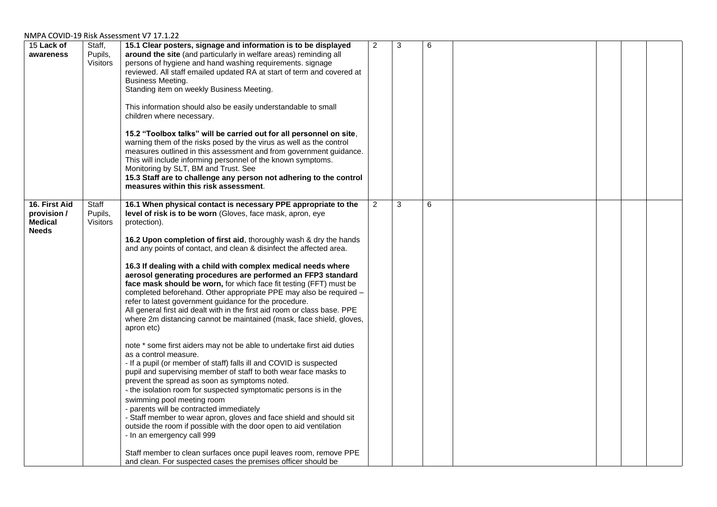| 15 Lack of<br>awareness                                        | Staff,<br>Pupils,<br>Visitors       | 15.1 Clear posters, signage and information is to be displayed<br>around the site (and particularly in welfare areas) reminding all<br>persons of hygiene and hand washing requirements. signage<br>reviewed. All staff emailed updated RA at start of term and covered at<br>Business Meeting.<br>Standing item on weekly Business Meeting.<br>This information should also be easily understandable to small<br>children where necessary.<br>15.2 "Toolbox talks" will be carried out for all personnel on site,<br>warning them of the risks posed by the virus as well as the control<br>measures outlined in this assessment and from government guidance.<br>This will include informing personnel of the known symptoms.<br>Monitoring by SLT, BM and Trust. See<br>15.3 Staff are to challenge any person not adhering to the control<br>measures within this risk assessment.                                                                                                                                                                                                                                                                                                                                                                                                                                                                                                                                                                                                                                                                           | 2 | 3 | 6 |  |  |
|----------------------------------------------------------------|-------------------------------------|------------------------------------------------------------------------------------------------------------------------------------------------------------------------------------------------------------------------------------------------------------------------------------------------------------------------------------------------------------------------------------------------------------------------------------------------------------------------------------------------------------------------------------------------------------------------------------------------------------------------------------------------------------------------------------------------------------------------------------------------------------------------------------------------------------------------------------------------------------------------------------------------------------------------------------------------------------------------------------------------------------------------------------------------------------------------------------------------------------------------------------------------------------------------------------------------------------------------------------------------------------------------------------------------------------------------------------------------------------------------------------------------------------------------------------------------------------------------------------------------------------------------------------------------------------------|---|---|---|--|--|
| 16. First Aid<br>provision /<br><b>Medical</b><br><b>Needs</b> | Staff<br>Pupils,<br><b>Visitors</b> | 16.1 When physical contact is necessary PPE appropriate to the<br>level of risk is to be worn (Gloves, face mask, apron, eye<br>protection).<br>16.2 Upon completion of first aid, thoroughly wash & dry the hands<br>and any points of contact, and clean & disinfect the affected area.<br>16.3 If dealing with a child with complex medical needs where<br>aerosol generating procedures are performed an FFP3 standard<br>face mask should be worn, for which face fit testing (FFT) must be<br>completed beforehand. Other appropriate PPE may also be required -<br>refer to latest government guidance for the procedure.<br>All general first aid dealt with in the first aid room or class base. PPE<br>where 2m distancing cannot be maintained (mask, face shield, gloves,<br>apron etc)<br>note * some first aiders may not be able to undertake first aid duties<br>as a control measure.<br>- If a pupil (or member of staff) falls ill and COVID is suspected<br>pupil and supervising member of staff to both wear face masks to<br>prevent the spread as soon as symptoms noted.<br>- the isolation room for suspected symptomatic persons is in the<br>swimming pool meeting room<br>- parents will be contracted immediately<br>- Staff member to wear apron, gloves and face shield and should sit<br>outside the room if possible with the door open to aid ventilation<br>- In an emergency call 999<br>Staff member to clean surfaces once pupil leaves room, remove PPE<br>and clean. For suspected cases the premises officer should be | 2 | 3 | 6 |  |  |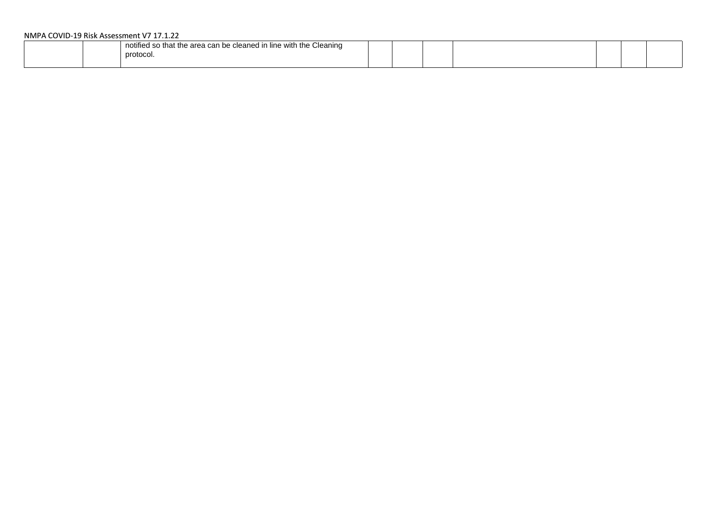| notified so that the area can be cleaned in line with the Cleaning<br>nrotocoi. |  |  |  |  |  |  |  |
|---------------------------------------------------------------------------------|--|--|--|--|--|--|--|
|---------------------------------------------------------------------------------|--|--|--|--|--|--|--|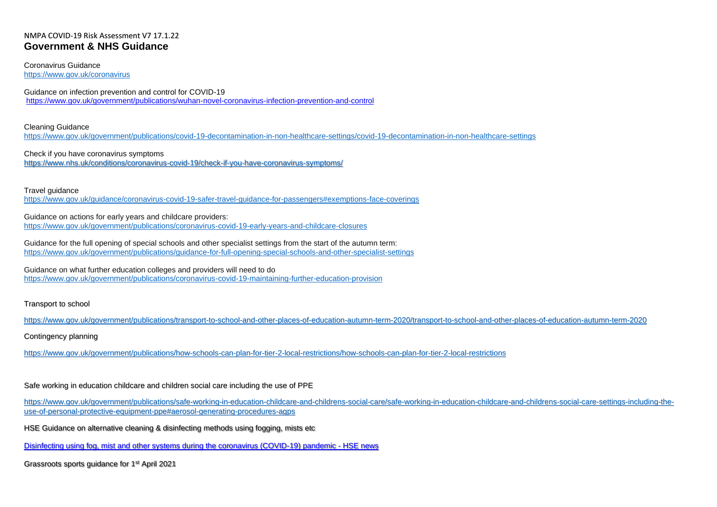### NMPA COVID-19 Risk Assessment V7 17.1.22 **Government & NHS Guidance**

Coronavirus Guidance <https://www.gov.uk/coronavirus>

Guidance on infection prevention and control for COVID-19 <https://www.gov.uk/government/publications/wuhan-novel-coronavirus-infection-prevention-and-control>

Cleaning Guidance <https://www.gov.uk/government/publications/covid-19-decontamination-in-non-healthcare-settings/covid-19-decontamination-in-non-healthcare-settings>

Check if you have coronavirus symptoms <https://www.nhs.uk/conditions/coronavirus-covid-19/check-if-you-have-coronavirus-symptoms/>

Travel guidance

<https://www.gov.uk/guidance/coronavirus-covid-19-safer-travel-guidance-for-passengers#exemptions-face-coverings>

Guidance on actions for early years and childcare providers: <https://www.gov.uk/government/publications/coronavirus-covid-19-early-years-and-childcare-closures>

Guidance for the full opening of special schools and other specialist settings from the start of the autumn term: <https://www.gov.uk/government/publications/guidance-for-full-opening-special-schools-and-other-specialist-settings>

Guidance on what further education colleges and providers will need to do <https://www.gov.uk/government/publications/coronavirus-covid-19-maintaining-further-education-provision>

#### Transport to school

<https://www.gov.uk/government/publications/transport-to-school-and-other-places-of-education-autumn-term-2020/transport-to-school-and-other-places-of-education-autumn-term-2020>

Contingency planning

<https://www.gov.uk/government/publications/how-schools-can-plan-for-tier-2-local-restrictions/how-schools-can-plan-for-tier-2-local-restrictions>

Safe working in education childcare and children social care including the use of PPE

[https://www.gov.uk/government/publications/safe-working-in-education-childcare-and-childrens-social-care/safe-working-in-education-childcare-and-childrens-social-care-settings-including-the](https://www.gov.uk/government/publications/safe-working-in-education-childcare-and-childrens-social-care/safe-working-in-education-childcare-and-childrens-social-care-settings-including-the-use-of-personal-protective-equipment-ppe#aerosol-generating-procedures-agps)[use-of-personal-protective-equipment-ppe#aerosol-generating-procedures-agps](https://www.gov.uk/government/publications/safe-working-in-education-childcare-and-childrens-social-care/safe-working-in-education-childcare-and-childrens-social-care-settings-including-the-use-of-personal-protective-equipment-ppe#aerosol-generating-procedures-agps)

HSE Guidance on alternative cleaning & disinfecting methods using fogging, mists etc

[Disinfecting using fog, mist and other systems during the coronavirus \(COVID-19\) pandemic -](https://www.hse.gov.uk/coronavirus/disinfecting-premises-during-coronavirus-outbreak.htm?utm_source=govdelivery&utm_medium=email&utm_campaign=coronavirus&utm_term=disinfecting-headline&utm_content=covid-4-feb-21) HSE news

Grassroots sports guidance for 1st April 2021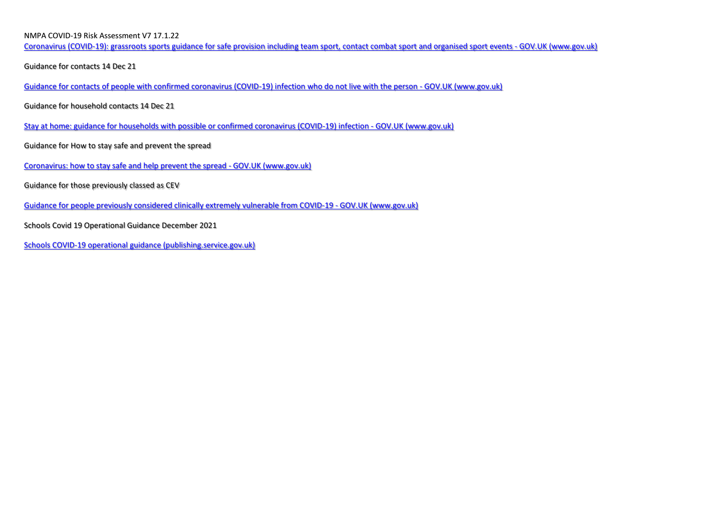[Coronavirus \(COVID-19\): grassroots sports guidance for safe provision including team sport, contact combat sport and organised sport events -](https://www.gov.uk/guidance/coronavirus-covid-19-grassroots-sports-guidance-for-safe-provision-including-team-sport-contact-combat-sport-and-organised-sport-events) GOV.UK (www.gov.uk)

Guidance for contacts 14 Dec 21

[Guidance for contacts of people with confirmed coronavirus \(COVID-19\) infection who do not live with the person -](https://www.gov.uk/government/publications/guidance-for-contacts-of-people-with-possible-or-confirmed-coronavirus-covid-19-infection-who-do-not-live-with-the-person/guidance-for-contacts-of-people-with-possible-or-confirmed-coronavirus-covid-19-infection-who-do-not-live-with-the-person) GOV.UK (www.gov.uk)

Guidance for household contacts 14 Dec 21

[Stay at home: guidance for households with possible or confirmed coronavirus \(COVID-19\) infection -](https://www.gov.uk/government/publications/covid-19-stay-at-home-guidance/stay-at-home-guidance-for-households-with-possible-coronavirus-covid-19-infection) GOV.UK (www.gov.uk)

Guidance for How to stay safe and prevent the spread

[Coronavirus: how to stay safe and help prevent the spread -](https://www.gov.uk/guidance/covid-19-coronavirus-restrictions-what-you-can-and-cannot-do) GOV.UK (www.gov.uk)

Guidance for those previously classed as CEV

[Guidance for people previously considered clinically extremely vulnerable from COVID-19 -](https://www.gov.uk/government/publications/guidance-on-shielding-and-protecting-extremely-vulnerable-persons-from-covid-19/guidance-on-shielding-and-protecting-extremely-vulnerable-persons-from-covid-19) GOV.UK (www.gov.uk)

Schools Covid 19 Operational Guidance December 2021

[Schools COVID-19 operational guidance \(publishing.service.gov.uk\)](https://assets.publishing.service.gov.uk/government/uploads/system/uploads/attachment_data/file/1040827/Schools_COVID-19_operational_guidance.pdf)